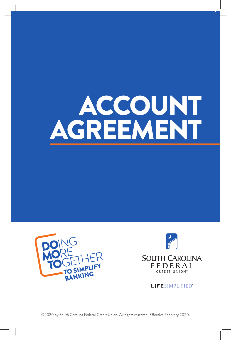# ACCOUNT AGREEMENT





**LIFESIMPLIFIED**<sup>\*</sup>

©2020 by South Carolina Federal Credit Union. All rights reserved. Effective February 2020.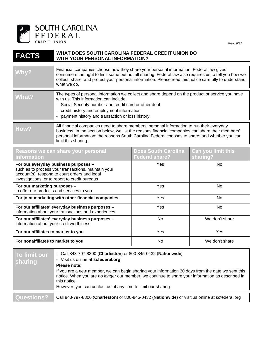

Rev. 9/14

#### **FACTS WHAT DOES SOUTH CAROLINA FEDERAL CREDIT UNION DO WITH YOUR PERSONAL INFORMATION?**

| Why?  | Financial companies choose how they share your personal information. Federal law gives<br>consumers the right to limit some but not all sharing. Federal law also requires us to tell you how we<br>collect, share, and protect your personal information. Please read this notice carefully to understand<br>what we do. |
|-------|---------------------------------------------------------------------------------------------------------------------------------------------------------------------------------------------------------------------------------------------------------------------------------------------------------------------------|
| What? | The types of personal information we collect and share depend on the product or service you have<br>with us. This information can include:<br>- Social Security number and credit card or other debt<br>- credit history and employment information<br>- payment history and transaction or loss history                  |
| How?  | All financial companies need to share members' personal information to run their everyday<br>business. In the section below, we list the reasons financial companies can share their members'<br>personal information; the reasons South Carolina Federal chooses to share; and whether you can<br>limit this sharing.    |

| Reasons we can share your personal<br>information                                                                                                                                              | <b>Does South Carolina</b><br><b>Federal share?</b> | <b>Can you limit this</b><br>sharing? |
|------------------------------------------------------------------------------------------------------------------------------------------------------------------------------------------------|-----------------------------------------------------|---------------------------------------|
| For our everyday business purposes -<br>such as to process your transactions, maintain your<br>account(s), respond to court orders and legal<br>investigations, or to report to credit bureaus | Yes                                                 | No.                                   |
| For our marketing purposes -<br>to offer our products and services to you                                                                                                                      | Yes                                                 | No                                    |
| For joint marketing with other financial companies                                                                                                                                             | Yes                                                 | No.                                   |
| For our affiliates' everyday business purposes -<br>information about your transactions and experiences                                                                                        | Yes                                                 | No.                                   |
| For our affiliates' everyday business purposes -<br>information about your creditworthiness                                                                                                    | No.                                                 | We don't share                        |
| For our affiliates to market to you                                                                                                                                                            | Yes                                                 | Yes                                   |
| For nonaffiliates to market to you                                                                                                                                                             | No.                                                 | We don't share                        |

| To limit our<br><b>sharing</b> | - Call 843-797-8300 (Charleston) or 800-845-0432 (Nationwide)<br>- Visit us online at scfederal.org<br>Please note:<br>If you are a new member, we can begin sharing your information 30 days from the date we sent this<br>notice. When you are no longer our member, we continue to share your information as described in<br>this notice.<br>However, you can contact us at any time to limit our sharing. |
|--------------------------------|---------------------------------------------------------------------------------------------------------------------------------------------------------------------------------------------------------------------------------------------------------------------------------------------------------------------------------------------------------------------------------------------------------------|
| Questions?                     | Call 843-797-8300 (Charleston) or 800-845-0432 (Nationwide) or visit us online at scfederal.org                                                                                                                                                                                                                                                                                                               |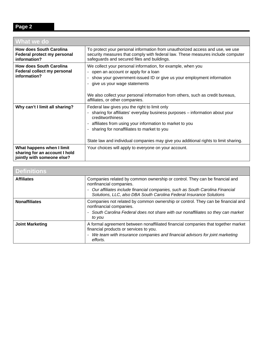## **Page 2**

| <b>What we do</b>                                                                        |                                                                                                                                                                                                                                                                                                                                                                              |
|------------------------------------------------------------------------------------------|------------------------------------------------------------------------------------------------------------------------------------------------------------------------------------------------------------------------------------------------------------------------------------------------------------------------------------------------------------------------------|
| <b>How does South Carolina</b><br>Federal protect my personal<br>information?            | To protect your personal information from unauthorized access and use, we use<br>security measures that comply with federal law. These measures include computer<br>safeguards and secured files and buildings.                                                                                                                                                              |
| <b>How does South Carolina</b><br>Federal collect my personal<br>information?            | We collect your personal information, for example, when you<br>- open an account or apply for a loan<br>show your government-issued ID or give us your employment information<br>$\overline{a}$<br>give us your wage statements                                                                                                                                              |
|                                                                                          | We also collect your personal information from others, such as credit bureaus,<br>affiliates, or other companies.                                                                                                                                                                                                                                                            |
| Why can't I limit all sharing?                                                           | Federal law gives you the right to limit only<br>sharing for affiliates' everyday business purposes - information about your<br>creditworthiness<br>affiliates from using your information to market to you<br>$\overline{\phantom{a}}$<br>sharing for nonaffiliates to market to you<br>State law and individual companies may give you additional rights to limit sharing. |
| What happens when I limit<br>sharing for an account I hold<br>jointly with someone else? | Your choices will apply to everyone on your account.                                                                                                                                                                                                                                                                                                                         |

| <b>Definitions</b>     |                                                                                                                                                                                                                                                                 |
|------------------------|-----------------------------------------------------------------------------------------------------------------------------------------------------------------------------------------------------------------------------------------------------------------|
| <b>Affiliates</b>      | Companies related by common ownership or control. They can be financial and<br>nonfinancial companies.<br>- Our affiliates include financial companies, such as South Carolina Financial<br>Solutions, LLC, also DBA South Carolina Federal Insurance Solutions |
| <b>Nonaffiliates</b>   | Companies not related by common ownership or control. They can be financial and<br>nonfinancial companies.<br>- South Carolina Federal does not share with our nonaffiliates so they can market<br>to you                                                       |
| <b>Joint Marketing</b> | A formal agreement between nonaffiliated financial companies that together market<br>financial products or services to you.<br>- We team with insurance companies and financial advisors for joint marketing<br>efforts.                                        |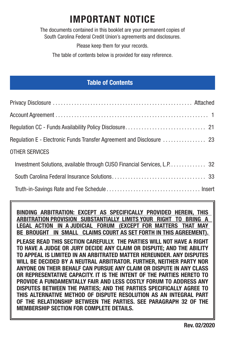# **IMPORTANT NOTICE**

The documents contained in this booklet are your permanent copies of South Carolina Federal Credit Union's agreements and disclosures.

Please keep them for your records.

The table of contents below is provided for easy reference.

#### **Table of Contents**

| <b>OTHER SERVICES</b>                                                    |
|--------------------------------------------------------------------------|
| Investment Solutions, available through CUSO Financial Services, L.P. 32 |
|                                                                          |
|                                                                          |

**BINDING ARBITRATION: EXCEPT AS SPECIFICALLY PROVIDED HEREIN, THIS ARBITRATION PROVISION SUBSTANTIALLY LIMITS YOUR RIGHT TO BRING A LEGAL ACTION IN A JUDICIAL FORUM (EXCEPT FOR MATTERS THAT MAY BE BROUGHT IN SMALL CLAIMS COURT AS SET FORTH IN THIS AGREEMENT). PLEASE READ THIS SECTION CAREFULLY. THE PARTIES WILL NOT HAVE A RIGHT TO HAVE A JUDGE OR JURY DECIDE ANY CLAIM OR DISPUTE; AND THE ABILITY TO APPEAL IS LIMITED IN AN ARBITRATED MATTER HEREUNDER. ANY DISPUTES WILL BE DECIDED BY A NEUTRAL ARBITRATOR. FURTHER, NEITHER PARTY NOR ANYONE ON THEIR BEHALF CAN PURSUE ANY CLAIM OR DISPUTE IN ANY CLASS OR REPRESENTATIVE CAPACITY. IT IS THE INTENT OF THE PARTIES HERETO TO PROVIDE A FUNDAMENTALLY FAIR AND LESS COSTLY FORUM TO ADDRESS ANY DISPUTES BETWEEN THE PARTIES; AND THE PARTIES SPECIFICALLY AGREE TO THIS ALTERNATIVE METHOD OF DISPUTE RESOLUTION AS AN INTEGRAL PART OF THE RELATIONSHIP BETWEEN THE PARTIES. SEE PARAGRAPH 32 OF THE MEMBERSHIP SECTION FOR COMPLETE DETAILS.**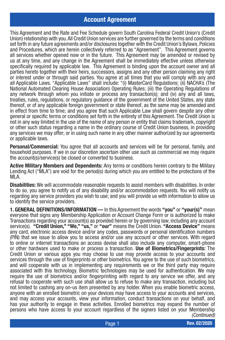#### **Account Agreement**

This Agreement and the Rate and Fee Schedule govern South Carolina Federal Credit Union's (Credit Union) relationship with you. All Credit Union services are further governed by the terms and conditions set forth in any future agreements and/or disclosures together with the Credit Union's Bylaws, Policies and Procedures, which are herein collectively referred to as "Agreement". This Agreement governs all services whether opened now or in the future. This Agreement may be amended or revised by us at any time, and any change in the Agreement shall be immediately effective unless otherwise specifically required by applicable law. This Agreement is binding upon the account owner and all parties hereto together with their heirs, successors, assigns and any other person claiming any right or interest under or through said parties. You agree at all times that you will comply with any and all Applicable Laws. "Applicable Laws" shall include: "(i) MasterCard Regulations; (ii) NACHA's (The National Automated Clearing House Association) Operating Rules; (iii) the Operating Regulations of any network through whom you initiate or process any transaction(s); and (iv) any and all laws, treaties, rules, regulations, or regulatory guidance of the government of the United States, any state thereof, or of any applicable foreign government or state thereof, as the same may be amended and in effect from time to time; and you agree that such Applicable Law shall govern despite any other general or specific terms or conditions set forth in the entirety of this Agreement. The Credit Union is not in any way limited in the use of the name of any person or entity that claims trademark, copyright or other such status regarding a name in the ordinary course of Credit Union business, in providing any services we may offer; or in using such name in any other manner authorized by our agreements or applicable laws.

**Personal/Commercial:** You agree that all accounts and services will be for personal, family, and household purposes. If we in our discretion ascertain other use such as commercial we may require the account(s)/service(s) be closed or converted to business.

**Active Military Members and Dependents:** Any terms or conditions herein contrary to the Military Lending Act ("MLA") are void for the period(s) during which you are entitled to the protections of the MLA.

**Disabilities:** We will accommodate reasonable requests to assist members with disabilities. In order to do so, you agree to notify us of any disability and/or accommodation requests. You will notify us regarding any service providers you wish to use; and you will provide us with information to allow us to identify the service providers.

**1. GENERAL DEFINITIONS/INFORMATION —** In this Agreement the words **"you"** or **"your(s)"** mean everyone that signs any Membership Application or Account Change Form or is authorized to make Transactions regarding your account(s) as provided herein or by governing law, including any account service(s). **"Credit Union," "We," "us,"** or **"our"** means the Credit Union. **"Access Device"** means any card, electronic access device and/or any codes, passwords or personal identification numbers (PIN) that we issue to allow you to access and/or use any account or other services. With regard to online or internet transactions an access devise shall also include any computer, smart-phone or other hardware used to make or process a transaction. **Use of Biometrics/Fingerprints:** The Credit Union or various apps you may choose to use may provide access to your accounts and services through the use of fingerprints or other biometrics. You agree to the use of such biometrics, and will cooperate with us in implementing any requirements we or the third party may require associated with this technology. Biometric technologies may be used for authentication. We may require the use of biometrics and/or fingerprinting with regard to any service we offer, and any refusal to cooperate with such use shall allow us to refuse to make any transaction, including but not limited to cashing any on-us item presented by any holder. When you enable biometric access, anyone with an enrolled biometric on your devices may have access to your accounts and services, and may access your accounts, view your information, conduct transactions on your behalf, and has your authority to engage in these activities. Enrolled biometrics may expand the number of persons who have access to your account regardless of the signers listed on your Membership *(Continued)*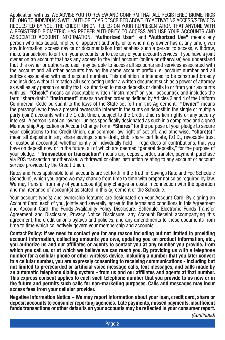Application with us. WE ADVISE YOU TO REVIEW AND CONFIRM THAT ALL REGISTERED BIOMETRICS BELONG TO INDIVIDUALS WITH AUTHORITY AS DESCRIBED ABOVE. BY ACTIVATING ACCESS/SERVICES REQUESTED BY YOU, THE CREDIT UNION RELIES ON YOUR REPRESENTATION THAT ANYONE WITH A REGISTERED BIOMETRIC HAS PROPER AUTHORITY TO ACCESS AND USE YOUR ACCOUNTS AND ASSOCIATED ACCOUNT INFORMATION. **"Authorized User"** and **"Authorized Use"** means any person who has actual, implied or apparent authority, or to whom any owner has at any time given any information, access device or documentation that enables such a person to access, withdraw, make transactions to or from your accounts, or to use any of your account services. If you have a joint owner on an account that has any access to the joint account (online or otherwise) you understand that this owner or authorized user may be able to access all accounts and services associated with the account and all other accounts having the same account prefix (i.e. account number and all suffixes associated with said account number). This definition is intended to be construed broadly and includes without limitation all users acting under a written document such as a power of attorney as well as any person or entity that is authorized to make deposits or debits to or from your accounts with us. **"Check"** means an acceptable written "instrument" on your account(s), and includes the term "share draft." **"Instrument"** means a written order as defined by Articles 3 and 4 of the Uniform Commercial Code pursuant to the laws of the State set forth in this Agreement. **"Owner"** means the person(s) who have a present ownership interest in the sums on deposit in the single or multiple party (joint) accounts with the Credit Union, subject to the Credit Union's lien rights or any security interest. A person is not an "owner" unless specifically designated as such in a completed and signed Membership Application or Account Change Form. **"Shares"** for the purpose of your pledge to secure your obligations to the Credit Union, our common law right of set off, and otherwise, **"share(s)"** mean all deposits in any share savings, share draft, club, share certificate, P.O.D., revocable trust or custodial account(s), whether jointly or individually held -- regardless of contributions, that you have on deposit now or in the future, all of which are deemed "general deposits," for the purpose of your pledge. **"Transaction or transaction"** means any deposit, order, transfer, payment, purchase via POS transaction or otherwise, withdrawal or other instruction relating to any account or account service provided by the Credit Union.

Rates and Fees applicable to all accounts are set forth in the Truth in Savings Rate and Fee Schedule (Schedule), which you agree we may change from time to time with proper notice as required by law. We may transfer from any of your account(s) any charges or costs in connection with the operation and maintenance of account(s) as stated in this agreement or the Schedule.

Your account type(s) and ownership features are designated on your Account Card. By signing an Account Card, each of you, jointly and severally, agree to the terms and conditions in this Agreement and Account Card, the Funds Availability Policy Disclosure, Schedule, Electronic Funds Transfer Agreement and Disclosure, Privacy Notice Disclosure, any Account Receipt accompanying this agreement, the credit union's bylaws and policies, and any amendments to these documents from time to time which collectively govern your membership and accounts.

**Contact Policy: If we need to contact you for any reason including but not limited to providing account information, collecting amounts you owe, updating you on product information, etc., you authorize us and our affiliates or agents to contact you at any number you provide, from which you call us, or at which we believe we can reach you. By providing us with a telephone number for a cellular phone or other wireless device, including a number that you later convert to a cellular number, you are expressly consenting to receiving communications - including but not limited to prerecorded or artificial voice message calls, text messages, and calls made by an automatic telephone dialing system - from us and our affiliates and agents at that number. This express consent applies to each such telephone number that you provide to us now or in the future and permits such calls for non-marketing purposes. Calls and messages may incur access fees from your cellular provider.** 

**Negative Information Notice – We may report information about your loan, credit card, share or deposit accounts to consumer reporting agencies. Late payments, missed payments, insufficient funds transactions or other defaults on your accounts may be reflected in your consumer report.**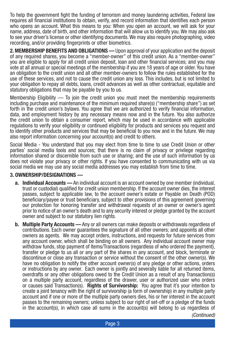To help the government fight the funding of terrorism and money laundering activities, Federal law requires all financial institutions to obtain, verify, and record information that identifies each person who opens an account. What this means to you: When you open an account, we will ask for your name, address, date of birth, and other information that will allow us to identify you. We may also ask to see your driver's license or other identifying documents. We may also require photographing, video recording, and/or providing fingerprints or other biometrics.

**2. MEMBERSHIP BENEFITS AND OBLIGATIONS —** Upon approval of your application and the deposit of any required shares, you become a "member-owner" of this credit union. As a "member-owner" you are eligible to apply for all credit union deposit, loan and other financial services; and you may vote at all annual or special meetings of the membership if you are 18 years of age or older. You have an obligation to the credit union and all other member-owners to follow the rules established for the use of these services, and not to cause the credit union any loss. This includes, but is not limited to your obligation to repay all debts, loans, credit advances as well as other contractual, equitable and statutory obligations that may be payable by you to us.

Membership Eligibility — To join the credit union you must meet the membership requirements including purchase and maintenance of the minimum required share(s) ("membership share") as set forth in the credit union's bylaws. You agree that we are authorized to verify financial information, data, and employment history by any necessary means now and in the future. You also authorize the credit union to obtain a consumer report, which may be used in accordance with applicable regulations to verify your eligibility or continued eligibility for products and services you request and to identify other products and services that may be beneficial to you now and in the future. We may also report information concerning your account(s) and credit to others.

Social Media - You understand that you may elect from time to time to use Credit Union or other parties' social media tools and sources; that there is no claim of privacy or privilege regarding information shared or discernible from such use or sharing; and the use of such information by us does not violate your privacy or other rights. If you have consented to communicating with us via social media we may use any social media addresses you may establish from time to time.

#### **3. OWNERSHIP/DESIGNATIONS —**

- **a. Individual Accounts —** An individual account is an account owned by one member (individual, trust or custodial) qualified for credit union membership. If the account owner dies, the interest passes, subject to applicable law, to the account owner's estate or Payable on Death (POD) beneficiary/payee or trust beneficiary, subject to other provisions of this agreement governing our protection for honoring transfer and withdrawal requests of an owner or owner's agent prior to notice of an owner's death and to any security interest or pledge granted by the account owner and subject to our statutory lien rights.
- **b. Multiple Party Accounts —** Any or all owners can make deposits or withdrawals regardless of contributions. Each owner guarantees the signature of all other owners; and appoints all other owners as agents. We may accept orders, instructions, and requests for future services from any account owner, which shall be binding on all owners. Any individual account owner may withdraw funds, stop payment of Items/Transactions (regardless of who ordered the payment), transfer or pledge to us all or any part of the shares in any account, and block, terminate or discontinue or close any transaction or service without the consent of the other owner(s). We have no obligation to notify the other account owner(s) of any pledge or other actions, orders or instructions by any owner. Each owner is jointly and severally liable for all returned items, overdrafts or any other obligations owed to the Credit Union as a result of any Transaction(s) on a multiple party account, regardless of the drawer, user or authorized user who orders or causes said Transaction(s). **Rights of Survivorship:** You agree that it's your intention to create a joint tenancy with the right of survivorship (a form of ownership) in any multiple party account and if one or more of the multiple party owners dies, his or her interest in the account passes to the remaining owners; unless subject to our right of set-off or a pledge of the funds in the account(s), in which case all sums in the account(s) will belong to us regardless of

*(Continued)*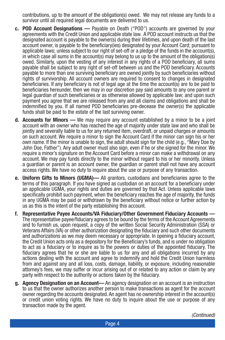contributions, up to the amount of the obligation(s) owed. We may not release any funds to a survivor until all required legal documents are delivered to us.

- **c. POD Account Designations —** Payable on Death ("POD") accounts are governed by your agreements with the Credit Union and applicable state law. A POD account instructs us that the designated account is payable to the owner(s) during their lifetimes, and upon death of the last account owner, is payable to the beneficiary(ies) designated by your Account Card; pursuant to applicable laws; unless subject to our right of set-off or a pledge of the funds in the account(s), in which case all sums in the account(s) may belong to us up to the amount of the obligation(s) owed. Similarly, upon the vesting of any interest in any rights of a POD beneficiary, all sums payable shall be subject to any right of set-off between us and the POD beneficiary. Accounts payable to more than one surviving beneficiary are owned jointly by such beneficiaries without rights of survivorship. All account owners are required to consent to changes in designated beneficiaries. If any beneficiary is not of legal age at the time the account(s) are to be paid to beneficiaries hereunder, then we may in our discretion pay said amounts to any one parent or legal guardian of such beneficiaries or as otherwise allowed by applicable law; and upon such payment you agree that we are released from any and all claims and obligations and shall be indemnified by you. If all named POD beneficiaries pre-decease the owner(s) the applicable funds shall be paid to the estate of the last surviving owner.
- **d. Accounts for Minors —** We may require any account established by a minor to be a joint account with an owner who has reached the age of majority under state law and who shall be jointly and severally liable to us for any returned item, overdraft, or unpaid charges or amounts on such account. We require a minor to sign the Account Card if the minor can sign his or her own name. If the minor is unable to sign, the adult should sign for the child (e.g., "Mary Doe by John Doe, Father"). Any adult owner must also sign, even if he or she signed for the minor. We require a minor's signature on the Account Card before a minor can make a withdrawal on any account. We may pay funds directly to the minor without regard to his or her minority. Unless a guardian or parent is an account owner, the guardian or parent shall not have any account access rights. We have no duty to inquire about the use or purpose of any transaction.
- **e. Uniform Gifts to Minors (UGMA)—** All grantors, custodians and beneficiaries agree to the terms of this paragraph. If you have signed as custodian on an account for a beneficiary under an applicable UGMA, your rights and duties are governed by that Act. Unless applicable laws specifically prohibit such payment, when the beneficiary reaches the age of majority, the funds in any UGMA may be paid or withdrawn by the beneficiary without notice or further action by us as this is the intent of the party establishing this account.
- **f. Representative Payee Accounts/VA Fiduciary/Other Government Fiduciary Accounts —** The representative payee/fiduciary agrees to be bound by the terms of the Account Agreements and to furnish us, upon request, a copy of the written Social Security Administration (SSA) or Veterans Affairs (VA) or other authorization designating the fiduciary and such other documents and authorizations as we may deem necessary or appropriate. In opening a fiduciary account, the Credit Union acts only as a depository for the Beneficiary's funds, and is under no obligation to act as a fiduciary or to inquire as to the powers or duties of the appointed fiduciary. The fiduciary agrees that he or she are liable to us for any and all obligations incurred by any actions dealing with the account and agree to indemnify and hold the Credit Union harmless from and against any and all loss, costs, damage, liability, or exposure, including reasonable attorney's fees, we may suffer or incur arising out of or related to any action or claim by any party with respect to the authority or actions taken by the fiduciary.
- **g. Agency Designation on an Account—** An agency designation on an account is an instruction to us that the owner authorizes another person to make transactions as agent for the account owner regarding the accounts designated. An agent has no ownership interest in the account(s) or credit union voting rights. We have no duty to inquire about the use or purpose of any transaction made by the agent.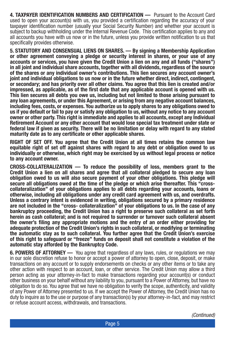**4. TAXPAYER IDENTIFICATION NUMBERS AND CERTIFICATION —** Pursuant to the Account Card used to open your account(s) with us, you provided a certification regarding the accuracy of your taxpayer identification number (usually your Social Security Number) and whether your account is subject to backup withholding under the Internal Revenue Code. This certification applies to any and all accounts you have with us now or in the future, unless you provide written notification to us that specifically provides otherwise.

**5. STATUTORY AND CONSENSUAL LIENS ON SHARES. — By signing a Membership Application or other agreement conveying a pledge or security interest in shares, or your use of any accounts or services, you have given the Credit Union a lien on any and all funds ("shares") in all joint and individual share accounts, together with all dividends, regardless of the source of the shares or any individual owner's contributions. This lien secures any account owner's joint and individual obligations to us now or in the future whether direct, indirect, contingent, or secondary; and has priority over all other claims. You agree that this lien is created and/or impressed, as applicable, as of the first date that any applicable account is opened with us. This lien secures all debts you owe us, including but not limited to those arising pursuant to any loan agreements, or under this Agreement, or arising from any negative account balances, including fees, costs, or expenses. You authorize us to apply shares to any obligations owed to us if you default or fail to pay or satisfy any obligation to us, without any notice to any account owner or other party. This right is immediate and applies to all accounts, except any Individual Retirement Account or any other account that would lose special tax treatment under state or federal law if given as security. There will be no limitation or delay with regard to any stated maturity date as to any certificate or other applicable shares.**

**RIGHT OF SET OFF. You agree that the Credit Union at all times retains the common law equitable right of set off against shares with regard to any debt or obligation owed to us individually or otherwise, which right may be exercised by us without legal process or notice to any account owner.**

**CROSS-COLLATERALIZATION — To reduce the possibility of loss, members grant to the Credit Union a lien on all shares and agree that all collateral pledged to secure any loan obligation owed to us will also secure payment of your other obligations. This pledge will secure all obligations owed at the time of the pledge or which arise thereafter. This "crosscollateralization" of your obligations applies to all debts regarding your accounts, loans or otherwise, including all obligations under any credit card agreement with us, and overdrafts. Unless a contrary intent is evidenced in writing, obligations secured by a primary residence are not included in the "cross- collateralization" of your obligations to us. In the case of any bankruptcy proceeding, the Credit Union has a right to preserve such collateral as set forth herein as cash collateral; and is not required to surrender or turnover such collateral absent the owner's filing any appropriate motions and the entry of an order either providing for adequate protection of the Credit Union's rights in such collateral, or modifying or terminating the automatic stay as to such collateral. You further agree that the Credit Union's exercise of this right to safeguard or "freeze" funds on deposit shall not constitute a violation of the automatic stay afforded by the Bankruptcy Code.**

**6. POWERS OF ATTORNEY —** You agree that regardless of any laws, rules, or regulations we may in our sole discretion refuse to honor or accept a power of attorney to open, close, deposit, or make transactions on any account or to supply endorsements on checks or any other items or to take any other action with respect to an account, loan, or other service. The Credit Union may allow a third person acting as your attorney-in-fact to make transactions regarding your account(s) or conduct other business on your behalf without any liability to you, pursuant to a Power of Attorney, but have no obligation to do so. You agree that we have no obligation to verify the scope, authenticity, and validity of any Power of Attorney presented to us. If we accept the Power of Attorney, the Credit Union has no duty to inquire as to the use or purpose of any transaction(s) by your attorney-in-fact, and may restrict or refuse account access, withdrawals, and transactions.

*(Continued)*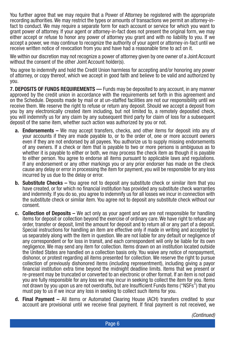You further agree that we may require that a Power of Attorney be registered with the appropriate recording authorities. We may restrict the types or amounts of transactions we permit an attorney-infact to conduct. We may require a separate form for each account or service for which you want to grant power of attorney. If your agent or attorney-in-fact does not present the original form, we may either accept or refuse to honor any power of attorney you grant and with no liability to you. If we accept a power, we may continue to recognize the authority of your agent or attorney-in-fact until we receive written notice of revocation from you and have had a reasonable time to act on it.

We within our discretion may not recognize a power of attorney given by one owner of a Joint Account without the consent of the other Joint Account holder(s).

You agree to indemnify and hold the Credit Union harmless for accepting and/or honoring any power of attorney, or copy thereof, which we accept in good faith and believe to be valid and authorized by you.

**7. DEPOSITS OF FUNDS REQUIREMENTS —** Funds may be deposited to any account, in any manner approved by the credit union in accordance with the requirements set forth in this agreement and on the Schedule. Deposits made by mail or at un-staffed facilities are not our responsibility until we receive them. We reserve the right to refuse or return any deposit. Should we accept a deposit from you by any electronically created item including, but not limited to, a remotely deposited check, you will indemnify us for any claim by any subsequent third party for claim of loss for a subsequent deposit of the same item, whether such action was authorized by you or not.

- **a. Endorsements –** We may accept transfers, checks, and other items for deposit into any of your accounts if they are made payable to, or to the order of, one or more account owners even if they are not endorsed by all payees. You authorize us to supply missing endorsements of any owners. If a check or item that is payable to two or more persons is ambiguous as to whether it is payable to either or both, we may process the check item as though it is payable to either person. You agree to endorse all items pursuant to applicable laws and regulations. If any endorsement or any other markings you or any prior endorser has made on the check cause any delay or error in processing the item for payment, you will be responsible for any loss incurred by us due to the delay or error.
- **b. Substitute Checks –** You agree not to deposit any substitute check or similar item that you have created, or for which no financial institution has provided any substitute check warranties and indemnity. If you do so, you agree to indemnify us for all losses we incur in connection with the substitute check or similar item. You agree not to deposit any substitute check without our consent.
- **c. Collection of Deposits** We act only as your agent and we are not responsible for handling items for deposit or collection beyond the exercise of ordinary care. We have right to refuse any order, transfer or deposit, limit the amount for deposit and to return all or any part of a deposit. Special instructions for handling an item are effective only if made in writing and accepted by us separately along with the item in question. We are not liable for any default or negligence of any correspondent or for loss in transit, and each correspondent will only be liable for its own negligence. We may send any item for collection. Items drawn on an institution located outside the United States are handled on a collection basis only. You waive any notice of nonpayment, dishonor, or protest regarding all items presented for collection. We reserve the right to pursue collection of previously dishonored items (including representment), including giving a payor financial institution extra time beyond the midnight deadline limits. Items that we present or re-present may be truncated or converted to an electronic or other format. If an item is not paid you are fully responsible for any loss we may incur in seeking to collect the item for you. Items not drawn by you upon us are not overdrafts, but are Insufficient Funds Items ("NSFs") that you must pay to us if we incur any loss in seeking to collect such items for you.
- **d. Final Payment** All items or Automated Clearing House (ACH) transfers credited to your account are provisional until we receive final payment. If final payment is not received, we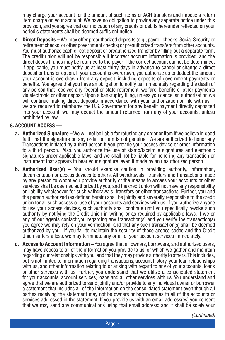may charge your account for the amount of such items or ACH transfers and impose a return item charge on your account. We have no obligation to provide any separate notice under this provision, and you agree that our indication of any credits or debits hereunder reflected on your periodic statements shall be deemed sufficient notice.

**e. Direct Deposits –** We may offer preauthorized deposits (e.g., payroll checks, Social Security or retirement checks, or other government checks) or preauthorized transfers from other accounts. You must authorize each direct deposit or preauthorized transfer by filling out a separate form. The credit union will not be responsible if incorrect account information is provided, and the direct deposit funds may be returned to the payor if the correct account cannot be determined. If applicable, you must notify us at least thirty days in advance to cancel or change a direct deposit or transfer option. If your account is overdrawn, you authorize us to deduct the amount your account is overdrawn from any deposit, including deposits of government payments or benefits. You agree that you have an obligation to notify us immediately regarding the death of any person that receives any federal or state retirement, welfare, benefits or other payments via electronic or other deposit. Upon a bankruptcy filing, unless you cancel an authorization we will continue making direct deposits in accordance with your authorization on file with us. If we are required to reimburse the U.S. Government for any benefit payment directly deposited into your account, we may deduct the amount returned from any of your accounts, unless prohibited by law.

#### **8. ACCOUNT ACCESS —**

- **a. Authorized Signature –** We will not be liable for refusing any order or item if we believe in good faith that the signature on any order or item is not genuine. We are authorized to honor any Transactions initiated by a third person if you provide your access device or other information to a third person. Also, you authorize the use of stamp/facsimile signatures and electronic signatures under applicable laws; and we shall not be liable for honoring any transaction or instrument that appears to bear your signature, even if made by an unauthorized person.
- **b. Authorized User(s) –** You should exercise caution in providing authority, information, documentation or access devices to others. All withdrawals, transfers and transactions made by any person to whom you provide authority or the means to access your accounts or other services shall be deemed authorized by you, and the credit union will not have any responsibility or liability whatsoever for such withdrawals, transfers or other transactions. Further, you and the person authorized (as defined herein) shall be jointly and severally responsible to the credit union for all such access or use of your accounts and services with us. If you authorize anyone to use your access devices, such authority shall continue until you specifically revoke such authority by notifying the Credit Union in writing or as required by applicable laws. If we or any of our agents contact you regarding any transaction(s) and you verify the transaction(s) you agree we may rely on your verification; and that any such transaction(s) shall be deemed authorized by you. If you fail to maintain the security of these access codes and the Credit Union suffers a loss, we may terminate any or all of your account services immediately.
- **c. Access to Account Information –** You agree that all owners, borrowers, and authorized users, may have access to all of the information you provide to us, or which we gather and maintain regarding our relationships with you; and that they may provide authority to others. This includes, but is not limited to information regarding transactions, account history, your loan relationships with us, and other information relating to or arising with regard to any of your accounts, loans or other services with us. Further, you understand that we utilize a consolidated statement for your accounts, account services, loans and all other services with us. You understand and agree that we are authorized to send jointly and/or provide to any individual owner or borrower a statement that includes all of the information on the consolidated statement even though all parties receiving the statement may not be owners or borrowers as to all of the accounts or services addressed in the statement. If you provide us with an email address(es) you consent that we may send any communications using that email address; and it shall be solely your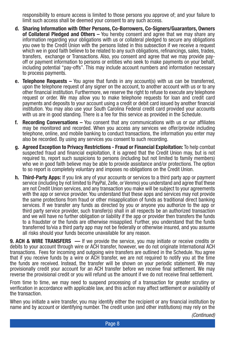responsibility to ensure access is limited to those persons you approve of; and your failure to limit such access shall be deemed your consent to any such access.

- **d. Sharing Information with Other Persons, Co-Borrowers, Co-Signers/Guarantors, Owners of Collateral Pledged and Others –** You hereby consent and agree that we may share any information regarding your obligations with us or collateral pledged to secure any obligations you owe to the Credit Union with the persons listed in this subsection if we receive a request which we in good faith believe to be related to any such obligations, refinancings, sales, trades, transfers, exchange or Transactions. Also, you consent and agree that we may provide payoff or payment information to persons or entities who seek to make payments on your behalf, including potential "pay-offs". This may include account numbers and information necessary to process payments.
- **e. Telephone Requests –** You agree that funds in any account(s) with us can be transferred, upon the telephone request of any signer on the account, to another account with us or to any other financial institution. Furthermore, we reserve the right to refuse to execute any telephone request or order. We may allow you to make telephone requests for loan and credit card payments and deposits to your account using a credit or debit card issued by another financial institution. You may also use your South Carolina Federal credit card provided your accounts with us are in good standing. There is a fee for this service as provided in the Schedule.
- **f. Recording Conversations –** You consent that any communications with us or our affiliates may be monitored and recorded. When you access any services we offer/provide including telephone, online, and mobile banking to conduct transactions, the information you enter may also be recorded. By using any services you consent to such recording.
- **g. Agreed Exception to Privacy Restrictions Fraud or Financial Exploitation:** To help combat suspected fraud and financial exploitation, it is agreed that the Credit Union may, but is not required to, report such suspicions to persons (including but not limited to family members) who we in good faith believe may be able to provide assistance and/or protections. The option to so report is completely voluntary and imposes no obligations on the Credit Union.
- **h. Third-Party Apps:** If you link any of your accounts or services to a third party app or payment service (including by not limited to PayPal, Zelle, or Venmo) you understand and agree that these are not Credit Union services, and any transaction you make will be subject to your agreements with the app or service provider. You understand that these apps and services may not provide the same protections from fraud or other misapplication of funds as traditional direct banking services. If we transfer any funds as directed by you or anyone you authorize to the app or third party service provider, such transfer(s) shall in all respects be an authorized transaction and we will have no further obligation or liability if the app or provider then transfers the funds to a fraudster or the funds are otherwise misapplied. Further, you understand that the funds transferred to/via a third party app may not be federally or otherwise insured, and you assume all risks should your funds become unavailable for any reason.

**9. ACH & WIRE TRANSFERS —** If we provide the service, you may initiate or receive credits or debits to your account through wire or ACH transfer, however, we do not originate International ACH transactions. Fees for incoming and outgoing wire transfers are outlined in the Schedule. You agree that if you receive funds by a wire or ACH transfer, we are not required to notify you at the time the funds are received. Instead, the transfer will be shown on your periodic statement. We may provisionally credit your account for an ACH transfer before we receive final settlement. We may reverse the provisional credit or you will refund us the amount if we do not receive final settlement.

From time to time, we may need to suspend processing of a transaction for greater scrutiny or verification in accordance with applicable law, and this action may affect settlement or availability of the transaction.

When you initiate a wire transfer, you may identify either the recipient or any financial institution by name and by account or identifying number. The credit union (and other institutions) may rely on the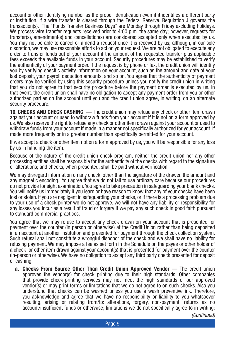account or other identifying number as the proper identification even if it identifies a different party or institution. If a wire transfer is cleared through the Federal Reserve, Regulation J governs the transaction(s). The "Funds Transfer Business Days" are Monday through Friday excluding holidays. We process wire transfer requests received prior to 4:00 p.m. the same day; however, requests for transfer(s), amendment(s) and cancellation(s) are considered accepted only when executed by us. You may not be able to cancel or amend a request once it is received by us; although, in our sole discretion, we may use reasonable efforts to act on your request. We are not obligated to execute any order to transfer funds out of your account if the amount of the requested transfer plus applicable fees exceeds the available funds in your account. Security procedures may be established to verify the authenticity of your payment order. If the request is by phone or fax, the credit union will identify you by verifying specific activity information on your account, such as the amount and date of your last deposit, your payroll deduction amounts, and so on. You agree that the authenticity of payment orders may be verified by using this security procedure unless you notify the credit union in writing that you do not agree to that security procedure before the payment order is executed by us. In that event, the credit union shall have no obligation to accept any payment order from you or other authorized parties on the account until you and the credit union agree, in writing, on an alternate security procedure.

**10. CHECKS AND CHECK CASHING —** The credit union may refuse any check or other item drawn against your account or used to withdraw funds from your account if it is not on a form approved by us. We also reserve the right to refuse any check or other item drawn against your account or used to withdraw funds from your account if made in a manner not specifically authorized for your account, if made more frequently or in a greater number than specifically permitted for your account.

If we accept a check or other item not on a form approved by us, you will be responsible for any loss by us in handling the item.

Because of the nature of the credit union check program, neither the credit union nor any other processing entities shall be responsible for the authenticity of the checks with regard to the signature or alterations; and checks, when presented, shall be paid without verification.

We may disregard information on any check, other than the signature of the drawer, the amount and any magnetic encoding. You agree that we do not fail to use ordinary care because our procedures do not provide for sight examination. You agree to take precaution in safeguarding your blank checks. You will notify us immediately if you learn or have reason to know that any of your checks have been lost or stolen. If you are negligent in safeguarding your checks, or if there is a processing problem due to your use of a check printer we do not approve, we will not have any liability or responsibility for any losses you incur as a result of fraud or forgery if we pay any such check in good faith pursuant to standard commercial practices.

You agree that we may refuse to accept any check drawn on your account that is presented for payment over the counter (in person or otherwise) at the Credit Union rather than being deposited in an account at another institution and presented for payment through the check collection system. Such refusal shall not constitute a wrongful dishonor of the check and we shall have no liability for refusing payment. We may impose a fee as set forth in the Schedule on the payee or other holder of a check or other item drawn against your account(s) that is presented for payment over the counter (in-person or otherwise). We have no obligation to accept any third party check presented for deposit or cashing.

**a. Checks From Source Other Than Credit Union Approved Vendor —** The credit union approves the vendor(s) for check printing due to their high standards. Other companies that provide check-printing services may not meet the high standards of our approved vendor(s) or may print terms or limitations that we do not agree to on such checks. Also you understand that checks can be washed unless you use a wash preventive ink. Therefore, you acknowledge and agree that we have no responsibility or liability to you whatsoever resulting, arising or relating from/to: alterations, forgery, non-payment; returns as no account/insufficient funds or otherwise; limitations we do not specifically agree to in writing;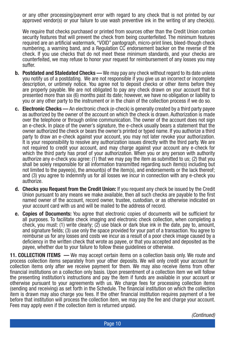or any other processing/payment error with regard to any check that is not printed by our approved vendor(s) or your failure to use wash preventive ink in the writing of any check(s).

We require that checks purchased or printed from sources other than the Credit Union contain security features that will prevent the check from being counterfeited. The minimum features required are an artificial watermark, "VOID" pantograph, micro-print lines, bleed-though check numbering, a warning band, and a Regulation CC endorsement backer on the reverse of the check. If you use checks that do not meet these minimum standards, and your checks are counterfeited, we may refuse to honor your request for reimbursement of any losses you may suffer.

- **b. Postdated and Staledated Checks —** We may pay any check without regard to its date unless you notify us of a postdating. We are not responsible if you give us an incorrect or incomplete description, or untimely notice. You agree not to deposit checks or other items before they are properly payable. We are not obligated to pay any check drawn on your account that is presented more than six (6) months past its date; however, we have no obligation or liability to you or any other party to the instrument or in the chain of the collection process if we do so.
- **c. Electronic Checks** An electronic check (e-check) is generally created by a third party payee as authorized by the owner of the account on which the check is drawn. Authorization is made over the telephone or through online communication. The owner of the account does not sign an e-check. In place of the owner's signature, the e-check usually bears a statement that the owner authorized the check or bears the owner's printed or typed name. If you authorize a third party to draw an e-check against your account, you may not later revoke your authorization. It is your responsibility to resolve any authorization issues directly with the third party. We are not required to credit your account, and may charge against your account any e-check for which the third party has proof of your authorization. When you or any person with authority authorize any e-check you agree: (1) that we may pay the item as submitted to us; (2) that you shall be solely responsible for all information transmitted regarding such item(s) including but not limited to the payee(s), the amount(s) of the item(s), and endorsements or the lack thereof; and (3) you agree to indemnify us for all losses we incur in connection with any e-check you authorize.
- **d. Checks you Request from the Credit Union:** If you request any check be issued by the Credit Union pursuant to any means we make available, then all such checks are payable to the first named owner of the account, record owner, trustee, custodian, or as otherwise indicated on your account card with us and will be mailed to the address of record.
- **e. Copies of Documents:** You agree that electronic copies of documents will be sufficient for all purposes. To facilitate check imaging and electronic check collection, when completing a check, you must: (1) write clearly; (2) use black or dark blue ink in the date, pay to, amount, and signature fields; (3) use only the space provided for your part of a transaction. You agree to reimburse us for any losses and costs we incur as a result of a poor check image caused by a deficiency in the written check that wrote as payee, or that you accepted and deposited as the payee, whether due to your failure to follow these guidelines or otherwise.

**11. COLLECTION ITEMS —** We may accept certain items on a collection basis only. We route and process collection items separately from your other deposits. We will only credit your account for collection items only after we receive payment for them. We may also receive items from other financial institutions on a collection only basis. Upon presentment of a collection item we will follow the presenting institution's instructions and pay the item if funds are available in your account or otherwise pursuant to your agreements with us. We charge fees for processing collection items (sending and receiving) as set forth in the Schedule. The financial institution on which the collection item is drawn may also charge you fees. If the other financial institution requires payment of a fee before that institution will process the collection item, we may pay the fee and charge your account. Fees may apply even if the collection item is returned unpaid.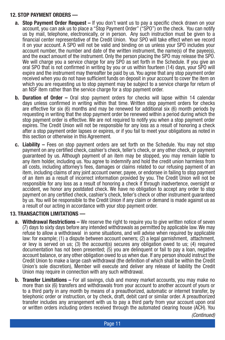#### **12. STOP PAYMENT ORDERS —**

- **a. Stop Payment Order Request –** If you don't want us to pay a specific check drawn on your account, you can ask us to place a "Stop Payment Order" ("SPO") on the check. You can notify us by mail, telephone, electronically, or in person. Any such instruction must be given to a financial center representative of the Credit Union. Your SPO will take effect when we record it on your account. A SPO will not be valid and binding on us unless your SPO includes your account number, the number and date of the written instrument, the name(s) of the payee(s), and the exact amount of the instrument. Only the person placing the SPO may release the SPO. We will charge you a service charge for any SPO as set forth in the Schedule. If you give an oral SPO that is not confirmed in writing by you or us within fourteen (14) days, your SPO will expire and the instrument may thereafter be paid by us. You agree that any stop payment order received when you do not have sufficient funds on deposit in your account to cover the item on which you are requesting us to stop payment may be subject to a service charge for return of an NSF item rather than the service charge for a stop payment order.
- **b. Duration of Order –** Oral stop payment orders for checks will lapse within 14 calendar days unless confirmed in writing within that time. Written stop payment orders for checks are effective for six (6) months and may be renewed for additional six (6) month periods by requesting in writing that the stop payment order be renewed within a period during which the stop payment order is effective. We are not required to notify you when a stop payment order expires. The Credit Union will not be responsible for any loss as a result of honoring a check after a stop payment order lapses or expires, or if you fail to meet your obligations as noted in this section or otherwise in this Agreement.
- **c. Liability –** Fees on stop payment orders are set forth on the Schedule. You may not stop payment on any certified check, cashier's check, teller's check, or any other check, or payment guaranteed by us. Although payment of an item may be stopped, you may remain liable to any item holder, including us. You agree to indemnify and hold the credit union harmless from all costs, including attorney's fees, damages or claims related to our refusing payment of an item, including claims of any joint account owner, payee, or endorsee in failing to stop payment of an item as a result of incorrect information provided by you. The Credit Union will not be responsible for any loss as a result of honoring a check if through inadvertence, oversight or accident, we honor any postdated check. We have no obligation to accept any order to stop payment on any certified check, cashier's check, teller's check or other instrument guaranteed by us. You will be responsible to the Credit Union if any claim or demand is made against us as a result of our acting in accordance with your stop payment order.

#### **13. TRANSACTION LIMITATIONS —**

- **a. Withdrawal Restrictions** We reserve the right to require you to give written notice of seven (7) days to sixty days before any intended withdrawals as permitted by applicable law. We may refuse to allow a withdrawal in some situations, and will advise when required by applicable law: for example; (1) a dispute between account owners; (2) a legal garnishment, attachment, or levy is served on us; (3) the account(s) secures any obligation owed to us; (4) required documentation has not been presented; (5) you are delinquent or fail to pay a loan, negative account balance, or any other obligation owed to us when due. If any person should instruct the Credit Union to make a large cash withdrawal (the definition of which shall be within the Credit Union's sole discretion), Member will execute and deliver any release of liability the Credit Union may require in connection with any such withdrawal.
- **b. Transfer Limitations –** For all savings, club and money market accounts, you may make no more than six (6) transfers and withdrawals from your account to another account of yours or to a third party in any month by means of a preauthorized, automatic or internet transfer, by telephonic order or instruction, or by check, draft, debit card or similar order. A preauthorized transfer includes any arrangement with us to pay a third party from your account upon oral or written orders including orders received through the automated clearing house (ACH). You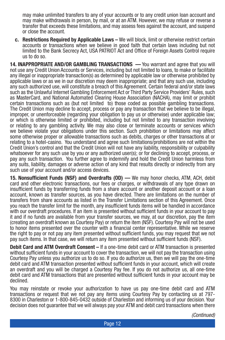may make unlimited transfers to any of your accounts or to any credit union loan account and may make withdrawals in person, by mail, or at an ATM. However, we may refuse or reverse a transfer that exceeds these limitations, and may assess fees against the account, and suspend or close the account.

**c. Restrictions Required by Applicable Laws –** We will block, limit or otherwise restrict certain accounts or transactions when we believe in good faith that certain laws including but not limited to the Bank Secrecy Act, USA PATRIOT Act and Office of Foreign Assets Control require us to do so.

**14. INAPPROPRIATE AND/OR GAMBLING TRANSACTIONS —** You warrant and agree that you will not use any Credit Union Accounts or Services, including but not limited to loans, to make or facilitate any illegal or inappropriate transaction(s) as determined by applicable law or otherwise prohibited by applicable laws or as we in our discretion may deem inappropriate; and that any such use, including any such authorized use, will constitute a breach of this Agreement. Certain federal and/or state laws such as the Unlawful Internet Gambling Enforcement Act or Third Party Service Providers' Rules, such as MasterCard, and National Automated Clearing House Association (NACHA), may limit or prohibit certain transactions such as (but not limited to) those coded as possible gambling transactions. The Credit Union may decline to accept, process or pay any transaction that we believe to be illegal, improper, or unenforceable (regarding your obligation to pay us or otherwise) under applicable law; or which is otherwise limited or prohibited, including but not limited to any transaction involving or relating to any gambling activity. We may also close or terminate accounts or services which we believe violate your obligations under this section. Such prohibition or limitations may affect some otherwise proper or allowable transactions such as debits, charges or other transactions at or relating to a hotel-casino. You understand and agree such limitations/prohibitions are not within the Credit Union's control and that the Credit Union will not have any liability, responsibility or culpability whatsoever for any such use by you or any authorized user(s); or for declining to accept, process, or pay any such transaction. You further agree to indemnify and hold the Credit Union harmless from any suits, liability, damages or adverse action of any kind that results directly or indirectly from any such use of your account and/or access devices.

**15. Nonsufficient Funds (NSF) and Overdrafts (OD) —** We may honor checks, ATM, ACH, debit card and other electronic transactions, our fees or charges, or withdrawals of any type drawn on insufficient funds by transferring funds from a share account or another deposit account or a loan account, known as transfer sources, as you have directed. There are limitations on the number of transfers from share accounts as listed in the Transfer Limitations section of this Agreement. Once you reach the transfer limit for the month, any insufficient funds items will be handled in accordance with our overdraft procedures. If an item is presented without sufficient funds in your account to pay it and if no funds are available from your transfer sources, we may, at our discretion, pay the item (creating an overdraft known as Courtesy Pay) or return the item (NSF). Courtesy Pay will not be used to honor items presented over the counter with a financial center representative. While we reserve the right to pay or not pay any item presented without sufficient funds, you may request that we not pay such items. In that case, we will return any item presented without sufficient funds (NSF).

**Debit Card and ATM Overdraft Consent –** If a one-time debit card or ATM transaction is presented without sufficient funds in your account to cover the transaction, we will not pay the transaction using Courtesy Pay unless you authorize us to do so. If you do authorize us, then we will pay the one-time debit card and ATM transaction presented without sufficient funds in your account, which will create an overdraft and you will be charged a Courtesy Pay fee. If you do not authorize us, all one-time debit card and ATM transactions that are presented without sufficient funds in your account may be declined.

You may reinstate or revoke your authorization to have us pay one-time debit card and ATM transactions or request that we not pay any items using Courtesy Pay by contacting us at 797- 8300 in Charleston or 1-800-845-0432 outside of Charleston and informing us of your decision. Your decision does not guarantee that we will always pay your ATM and debit card transactions when there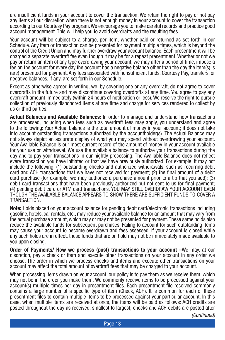are insufficient funds in your account to cover the transaction. We retain the right to pay or not pay any items at our discretion when there is not enough money in your account to cover the transaction according to our Courtesy Pay program. We encourage you to make careful records and practice good account management. This will help you to avoid overdrafts and the resulting fees.

Your account will be subject to a charge, per item, whether paid or returned as set forth in our Schedule. Any item or transaction can be presented for payment multiple times, which is beyond the control of the Credit Union and may further overdraw your account balance. Each presentment will be charged a separate overdraft fee even though it may be for a repeat presentment. Whether or not we pay or return an item of any type overdrawing your account, we may after a period of time, impose a fee on the account for every day the account has a negative balance other than the day the item(s) is (are) presented for payment. Any fees associated with nonsufficient funds, Courtesy Pay, transfers, or negative balances, if any, are set forth in our Schedule.

Except as otherwise agreed in writing, we, by covering one or any overdraft, do not agree to cover overdrafts in the future and may discontinue covering overdrafts at any time. You agree to pay any overdraft amount immediately (within 24 hours of notification or less). We reserve the right to pursue collection of previously dishonored items at any time and charge for services rendered to collect by us or third parties.

**Actual Balances and Available Balances:** In order to manage and understand how transactions are processed, including when fees such as overdraft fees may apply, you understand and agree to the following: Your Actual balance is the total amount of money in your account; it does not take into account outstanding transactions authorized by the accountholder(s). The Actual Balance may not always depict an accurate display of what you may spend without overdrawing your account. Your Available Balance is our most current record of the amount of money in your account available for your use or withdrawal. We use the available balance to authorize your transactions during the day and to pay your transactions in our nightly processing. The Available Balance does not reflect every transaction you have initiated or that we have previously authorized. For example, it may not include the following: (1) outstanding checks and authorized withdrawals, such as recurring debit card and ACH transactions that we have not received for payment; (2) the final amount of a debit card purchase (for example, we may authorize a purchase amount prior to a tip that you add); (3) debit card transactions that have been previously authorized but not sent to us for final payment; (4) pending debit card or ATM card transactions. YOU MAY STILL OVERDRAW YOUR ACCOUNT EVEN THOUGH THE AVAILABLE BALANCE APPEARS TO SHOW THERE ARE SUFFICIENT FUNDS TO COVER A TRANSACTION.

**Note:** Holds placed on your account balance for pending debit card/electronic transactions including gasoline, hotels, car rentals, etc., may reduce your available balance for an amount that may vary from the actual purchase amount, which may or may not be presented for payment. These same holds also reduce the available funds for subsequent purchases. Failing to account for such outstanding items may cause your account to become overdrawn and fees assessed. If your account is closed while any such holds are in effect, these funds that are on hold may not be immediately made available to you upon closing.

**Order of Payments/ How we process (post) transactions to your account –**We may, at our discretion, pay a check or item and execute other transactions on your account in any order we choose. The order in which we process checks and items and execute other transactions on your account may affect the total amount of overdraft fees that may be charged to your account.

When processing items drawn on your account, our policy is to pay them as we receive them, which may not be in the order you make them. We commonly receive items to be processed against your account(s) multiple times per day in presentment files. Each presentment file received commonly contains a large number of a specific type of item (Check, ACH). It is common for each of these presentment files to contain multiple items to be processed against your particular account. In this case, when multiple items are received at once, the items will be paid as follows: ACH credits are posted throughout the day as received, smallest to largest; checks and ACH debits are posted after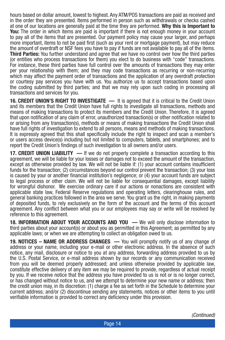hours based on dollar amount, lowest to highest. Any ATM/POS transactions are paid as received and in the order they are presented. Items performed in person such as withdrawals or checks cashed at one of our locations are generally paid at the time they are performed. **Why this is Important to You:** The order in which items are paid is important if there is not enough money in your account to pay all of the items that are presented. Our payment policy may cause your larger, and perhaps more important, items to not be paid first (such as your rent or mortgage payment), but may reduce the amount of overdraft or NSF fees you have to pay if funds are not available to pay all of the items. **Third Parties:** You further understand and agree that we have no control over how the third parties (or entities who process transactions for them) you elect to do business with "code" transactions. For instance, these third parties have full control over the amounts of transactions they may enter per your relationship with them; and they may code transactions as recurring or non-recurring which may affect the payment order of transactions and the application of any overdraft protection or courtesy pay services you have with us. You authorize us to accept transactions based upon the coding submitted by third parties; and that we may rely upon such coding in processing all transactions and services for you.

**16. CREDIT UNION'S RIGHT TO INVESTIGATE —** It is agreed that it is critical to the Credit Union and its members that the Credit Union have full rights to investigate all transactions, methods and means of making transactions to protect its members and the Credit Union. Therefore, it is agreed that upon notification of any claim of error, unauthorized transaction(s) or other notification related to or arising from any transaction(s), methods or means of making transactions the Credit Union shall have full rights of investigation to extend to all persons, means and methods of making transactions. It is expressly agreed that this shall specifically include the right to inspect and scan a member's or users access device(s) including but not limited to computers, tablets, and smartphones; and to report the Credit Union's findings of such investigation to all owners and/or users.

**17. CREDIT UNION LIABILITY** — If we do not properly complete a transaction according to this agreement, we will be liable for your losses or damages not to exceed the amount of the transaction, except as otherwise provided by law. We will not be liable if: (1) your account contains insufficient funds for the transaction; (2) circumstances beyond our control prevent the transaction; (3) your loss is caused by your or another financial institution's negligence; or (4) your account funds are subject to legal process or other claim. We will not be liable for consequential damages, except liability for wrongful dishonor. We exercise ordinary care if our actions or nonactions are consistent with applicable state law, Federal Reserve regulations and operating letters, clearinghouse rules, and general banking practices followed in the area we serve. You grant us the right, in making payments of deposited funds, to rely exclusively on the form of the account and the terms of this account agreement. Any conflict between what you or our employees may say or write will be resolved by reference to this agreement.

**18. INFORMATION ABOUT YOUR ACCOUNTS AND YOU —** We will only disclose information to third parties about your account(s) or about you as permitted in this Agreement; as permitted by any applicable laws; or when we are attempting to collect an obligation owed to us.

**19. NOTICES – NAME OR ADDRESS CHANGES —** You will promptly notify us of any change of address or your name, including your e-mail or other electronic address. In the absence of such notice, any mail, disclosure or notice to you at any address, forwarding address provided to us by the U.S. Postal Service, or e-mail address shown by our records or any communication received from you will be deemed properly addressed; and unless otherwise provided by applicable law, constitute effective delivery of any item we may be required to provide, regardless of actual receipt by you. If we receive notice that the address you have provided to us is not or is no longer correct, or has changed without notice to us, and we attempt to determine your new name or address; then the credit union may, in its discretion: (1) charge a fee as set forth in the Schedule to determine your current address; and/or (2) discontinue sending any statements, notices or other items to you until verifiable information is provided to correct any deficiency under this provision.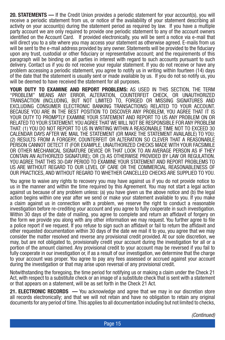**20. STATEMENTS —** If the Credit Union provides a periodic statement for your account(s), you will receive a periodic statement from us, or notice of the availability of your statement describing all activity on your account(s) during the statement period as required by law. If you have a multiple party account we are only required to provide one periodic statement to any of the account owners identified on the Account Card. If provided electronically, you will be sent a notice via e-mail that will direct you to a site where you may access your statement as otherwise agreed. E-mails from us will be sent to the e-mail address provided by any owner. Statements will be provided to the fiduciary upon any trust, custodial or other fiduciary or representative account; and the requirements of this paragraph will be binding on all parties in interest with regard to such accounts pursuant to such delivery. Contact us if you do not receive your regular statement. If you do not receive or have any problem accessing a periodic statement, you agree to notify us in writing within fourteen (14) days of the date that the statement is usually sent or made available by us. If you do not so notify us, you will be deemed to have received the statement for all purposes.

**YOUR DUTY TO EXAMINE AND REPORT PROBLEMS:** AS USED IN THIS SECTION, THE TERM "PROBLEM" MEANS ANY ERROR, ALTERATION, COUNTERFEIT CHECK, OR UNAUTHORIZED TRANSACTION (INCLUDING, BUT NOT LIMITED TO, FORGED OR MISSING SIGNATURES AND EXCLUDING CONSUMER ELECTRONIC BANKING TRANSACTIONS) RELATED TO YOUR ACCOUNT. BECAUSE YOU ARE IN THE BEST POSITION TO DISCOVER ANY PROBLEM, YOU AGREE THAT IT IS YOUR DUTY TO PROMPTLY EXAMINE YOUR STATEMENT AND REPORT TO US ANY PROBLEM ON OR RELATED TO YOUR STATEMENT. YOU AGREE THAT WE WILL NOT BE RESPONSIBLE FOR ANY PROBLEM THAT: (1) YOU DO NOT REPORT TO US IN WRITING WITHIN A REASONABLE TIME NOT TO EXCEED 30 CALENDAR DAYS AFTER WE MAIL THE STATEMENT (OR MAKE THE STATEMENT AVAILABLE) TO YOU; (2) RESULTS FROM A FORGERY, COUNTERFEIT OR ALTERATION SO CLEVER THAT A REASONABLE PERSON CANNOT DETECT IT (FOR EXAMPLE, UNAUTHORIZED CHECKS MADE WITH YOUR FACSIMILE OR OTHER MECHANICAL SIGNATURE DEVICE OR THAT LOOK TO AN AVERAGE PERSON AS IF THEY CONTAIN AN AUTHORIZED SIGNATURE); OR (3) AS OTHERWISE PROVIDED BY LAW OR REGULATION. YOU AGREE THAT THIS 30-DAY PERIOD TO EXAMINE YOUR STATEMENT AND REPORT PROBLEMS TO US ARE WITHOUT REGARD TO OUR LEVEL OF CARE OR THE COMMERCIAL REASONABLENESS OF OUR PRACTICES, AND WITHOUT REGARD TO WHETHER CANCELLED CHECKS ARE SUPPLIED TO YOU.

You agree to waive any rights to recovery you may have against us if you do not provide notice to us in the manner and within the time required by this Agreement. You may not start a legal action against us because of any problem unless: (a) you have given us the above notice and (b) the legal action begins within one year after we send or make your statement available to you. If you make a claim against us in connection with a problem, we reserve the right to conduct a reasonable investigation before re-crediting your account and you agree to fully cooperate in such investigation. Within 30 days of the date of mailing, you agree to complete and return an affidavit of forgery on the form we provide you along with any other information we may request. You further agree to file a police report if we request. If you refuse to sign such an affidavit or fail to return the affidavit and other requested documentation within 30 days of the date we mail it to you, you agree that we may consider the matter resolved and reverse any provisional credit provided. At our sole discretion, we may, but are not obligated to, provisionally credit your account during the investigation for all or a portion of the amount claimed. Any provisional credit to your account may be reversed if you fail to fully cooperate in our investigation or, if as a result of our investigation, we determine that the charge to your account was proper. You agree to pay any fees assessed or accrued against your account during the investigation or that may arise upon reversal of any provisional credit.

Notwithstanding the foregoing, the time period for notifying us or making a claim under the Check 21 Act, with respect to a substitute check or an image of a substitute check that is sent with a statement or that appears on a statement, will be as set forth in the Check 21 Act.

**21. ELECTRONIC RECORDS** — You acknowledge and agree that we may in our discretion store all records electronically; and that we will not retain and have no obligation to retain any original documents for any period of time. This applies to all documentation including but not limited to checks,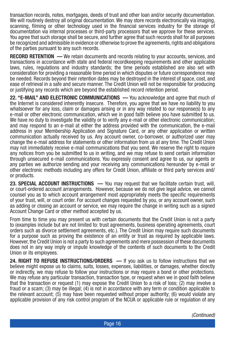transaction records, notes, mortgages, deeds of trust and other loan and/or security documentation. We will routinely destroy all original documentation. We may store records electronically via imaging, scanning, filming or other technology used in the financial services industry for the storage of documentation via internal processes or third-party processors that we approve for these services. You agree that such storage shall be secure, and further agree that such records shall for all purposes be recognized and admissible in evidence or otherwise to prove the agreements, rights and obligations of the parties pursuant to any such records.

**RECORD RETENTION —** We retain documents and records relating to your accounts, services, and transactions in accordance with state and federal recordkeeping requirements and other applicable laws, rules, regulations and industry standards; the time periods established are also set with consideration for providing a reasonable time period in which disputes or future correspondence may be needed. Records beyond their retention dates may be destroyed in the interest of space, cost, and ease of retrieval in a safe and secure manner. The Credit Union will not be responsible for producing or justifying any records which are beyond the established record retention period.

**22. "E-MAIL" AND ELECTRONIC COMMUNICATIONS —** You acknowledge and agree that much of the Internet is considered inherently insecure. Therefore, you agree that we have no liability to you whatsoever for any loss, claim or damages arising or in any way related to our response(s) to any e-mail or other electronic communication, which we in good faith believe you have submitted to us. We have no duty to investigate the validity or to verify any e-mail or other electronic communication; and may respond to an e-mail at either the address provided with the communication, the e-mail address in your Membership Application and Signature Card, or any other application or written communication actually received by us. Any account owner, co-borrower, or authorized user may change the e-mail address for statements or other information from us at any time. The Credit Union may not immediately receive e-mail communications that you send. We reserve the right to require any notices from you be submitted to us in writing, and we may refuse to send certain information through unsecured e-mail communications. You expressly consent and agree to us, our agents or any parties we authorize sending and your receiving any communications hereunder by e-mail or other electronic methods including any offers for Credit Union, affiliate or third party services and/ or products.

**23. SPECIAL ACCOUNT INSTRUCTIONS —** You may request that we facilitate certain trust, will, or court-ordered account arrangements. However, because we do not give legal advice, we cannot counsel you as to which account arrangement most appropriately meets the specific requirements of your trust, will, or court order. For account changes requested by you, or any account owner, such as adding or closing an account or service, we may require the change in writing such as a signed Account Change Card or other method accepted by us.

From time to time you may present us with certain documents that the Credit Union is not a party to (examples include but are not limited to: trust agreements, business operating agreements, court orders such as divorce settlement agreements, etc.). The Credit Union may require such documents for a purpose such as proving the existence of an entity or trust as required by applicable laws. However, the Credit Union is not a party to such agreements and mere possession of these documents does not in any way imply or impute knowledge of the contents of such documents to the Credit Union or its employees.

**24. RIGHT TO REFUSE INSTRUCTIONS/ORDERS —** If you ask us to follow instructions that we believe might expose us to claims, suits, losses, expenses, liabilities, or damages, whether directly or indirectly, we may refuse to follow your instructions or may require a bond or other protections. We may refuse any particular transaction, transaction type, or request when we in good faith believe that the transaction or request (1) may expose the Credit Union to a risk of loss; (2) may involve a fraud or a scam; (3) may be illegal; (4) is not in accordance with any term or condition applicable to the relevant account; (5) may have been requested without proper authority; (6) would violate any applicable provision of any risk control program of the NCUA or applicable rule or regulation of any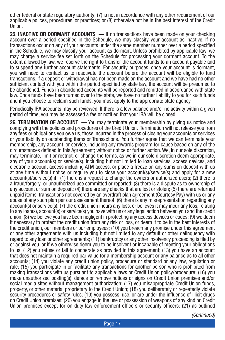other federal or state regulatory authority; (7) is not in accordance with any other requirement of our applicable polices, procedures, or practices; or (8) otherwise not be in the best interest of the Credit Union.

**25. INACTIVE OR DORMANT ACCOUNTS** — If no transactions have been made on your checking account over a period specified in the Schedule, we may classify your account as inactive. If no transactions occur on any of your accounts under the same member number over a period specified in the Schedule, we may classify your account as dormant. Unless prohibited by applicable law, we may charge a service fee set forth on the Schedule for processing your dormant account. To the extent allowed by law, we reserve the right to transfer the account funds to an account payable and to suspend any further account statements. For security purposes, once your account is dormant, you will need to contact us to reactivate the account before the account will be eligible to fund transactions. If a deposit or withdrawal has not been made on the account and we have had no other sufficient contact with you within the period specified by state law, the account will be presumed to be abandoned. Funds in abandoned accounts will be reported and remitted in accordance with state law. Once funds have been turned over to the state, we have no further liability to you for such funds and if you choose to reclaim such funds, you must apply to the appropriate state agency.

Periodically IRA accounts may be reviewed. If there is a low balance and/or no activity within a given period of time, you may be assessed a fee or notified that your IRA will be closed.

**26. TERMINATION OF ACCOUNT —** You may terminate your membership by giving us notice and complying with the policies and procedures of the Credit Union. Termination will not release you from any fees or obligations you owe us, those incurred in the process of closing your accounts or services or your liability on outstanding items or Transactions. You further agree that we can terminate your membership, any account, or service, including any rewards program for cause based on any of the circumstances defined in this Agreement; without notice or further action. We, in our sole discretion, may terminate, limit or restrict, or change the terms, as we in our sole discretion deem appropriate, any of your account(s) or service(s), including but not limited to loan services, access devices, and electronic account access including ATM access, or place a freeze on any sums on deposit with us at any time without notice or require you to close your account(s)/service(s) and apply for a new account(s)/service(s) if: (1) there is a request to change the owners or authorized users; (2) there is a fraud/forgery or unauthorized use committed or reported; (3) there is a dispute as to ownership of any account or sum on deposit; (4) there are any checks that are lost or stolen; (5) there are returned unpaid items, transactions not covered by an overdraft plan agreement (Courtesy Pay) with us or any abuse of any such plan per our assessment thereof; (6) there is any misrepresentation regarding any account(s) or service(s); (7) the credit union incurs any loss, or believes it may incur any loss, relating to any loan(s), account(s) or service(s) you have with us or any legal action between you and the credit union; (8) we believe you have been negligent in protecting any access devices or codes; (9) we deem it necessary to protect the credit union from any risk or loss, or deem it to be in the best interests of the credit union, our members or our employees; (10) you breach any promise under this agreement or any other agreements with us including but not limited to any default or other delinquency with regard to any loan or other agreements; (11) bankruptcy or any other insolvency proceeding is filed by or against you, or if we otherwise deem you to be insolvent or incapable of meeting your obligations to us; (12) you refuse or fail to cooperate as provided in this agreement; (13) you have an account that does not maintain a required par value for a membership account or any balance as to all other accounts; (14) you violate any credit union policy, procedure or standard or any law, regulation or rule; (15) you participate in or facilitate any transactions for another person who is prohibited from making transactions with us pursuant to applicable laws or Credit Union policy/procedure; (16) you make unauthorized posting(s), deface or remove notices or signs on Credit Union premises and/or social media sites without management authorization; (17) you misappropriate Credit Union funds, property, or other material proprietary to the Credit Union; (18) you deliberately or repeatedly violate security procedures or safety rules; (19) you possess, use, or are under the influence of illicit drugs on Credit Union premises; (20) you engage in the use or possession of weapons of any kind on Credit Union premises except for on-duty law enforcement officers or security officers; (21) as outlined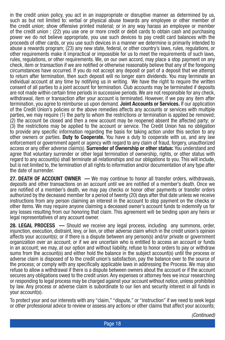in the credit union policy, you act in an inappropriate or disruptive manner as determined by us, such as but not limited to: verbal or physical abuse towards any employee or other member of the credit union; show offensive printed material; or in any way harass an employee or member of the credit union ; (22) you use one or more credit or debit cards to obtain cash and purchasing power we do not believe appropriate, you use such devices to pay credit card balances with the proceeds of other cards, or you use such devices in a manner we determine is primarily intended to abuse a rewards program; (23) any new state, federal, or other country's laws, rules, regulations, or other requirements make it impractical or impossible for us to meet the requirements of such laws, rules, regulations, or other requirements. We, on our own accord, may place a stop payment on any check, item or transaction if we are notified or otherwise reasonably believe that any of the foregoing circumstances have occurred. If you do not accept any deposit or part of a deposit that we attempt to return after termination, then such deposit will no longer earn dividends. You may terminate an individual account at any time by notifying us in writing. We have the right to require the written consent of all parties to a joint account for termination. Club accounts may be terminated if deposits are not made within certain time periods in successive periods. We are not responsible for any check, withdrawal, item or transaction after your account is terminated. However, if we pay any item after termination, you agree to reimburse us upon demand. **Joint Accounts or Services.** If our application of the Credit Union's policies or the above remedies affects any accounts or services with multiple parties, we may require (1) the party to whom the restrictions or termination is applied be removed; (2) the account be closed and then a new account may be reopened absent the affected party; or (3) the restrictions may be applied to the account or service. The Credit Union has no obligation to provide any specific information regarding the basis for taking action under this section to any other owners or parties. **Duty to Cooperate.** You have a duty to cooperate with us, and any law enforcement or government agent or agency with regard to any claim of fraud, forgery, unauthorized access or any other adverse claim(s). **Surrender of Ownership or other status:** You understand and agree that voluntary surrender or other legal termination of ownership, rights, or other status with regard to any account(s) shall terminate all relationships and our obligations to you. This will include, but is not limited to, the termination of all rights to information and/or documentation of any type after the date of surrender.

**27. DEATH OF ACCOUNT OWNER —** We may continue to honor all transfer orders, withdrawals, deposits and other transactions on an account until we are notified of a member's death. Once we are notified of a member's death, we may pay checks or honor other payments or transfer orders authorized by the deceased member for a period of twenty (20) days after that date unless we receive instructions from any person claiming an interest in the account to stop payment on the checks or other items. We may require anyone claiming a deceased owner's account funds to indemnify us for any losses resulting from our honoring that claim. This agreement will be binding upon any heirs or legal representatives of any account owner.

**28. LEGAL PROCESS** — Should we receive any legal process, including any summons, order, injunction, execution, distraint, levy, or lien, or other adverse claim which in the credit union's opinion affects your account(s); or if there is a dispute between any person(s) and/or private or government organization over an account; or if we are uncertain who is entitled to access an account or funds in an account; we may, at our option and without liability, refuse to honor orders to pay or withdraw sums from the account(s) and either hold the balance in the subject account(s) until the process or adverse claim is disposed of to the credit union's satisfaction, pay the balance over to the source of the process; or comply with any specifically applicable laws in addressing the Process. We may also refuse to allow a withdrawal if there is a dispute between owners about the account or if the account secures any obligations owed to the credit union. Any expenses or attorney fees we incur researching or responding to legal process may be charged against your account without notice, unless prohibited by law. Any process or adverse claim is subordinate to our lien and security interest in all funds in your account(s).

To protect your and our interests with any "claim," "dispute," or "instruction" if we need to seek legal or other professional advice to review or assess any actions or other claims that affect your accounts;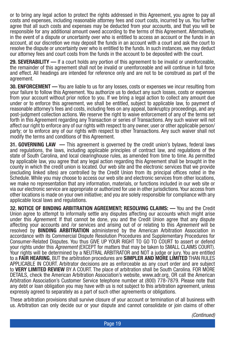or to bring any legal action to protect the rights addressed in this Agreement, you agree to pay all costs and expenses, including reasonable attorney fees and court costs, incurred by us. You further agree that all such costs and expenses may be deducted from your accounts, and that you will be responsible for any additional amount owed according to the terms of this Agreement. Alternatively, in the event of a dispute or uncertainty over who is entitled to access an account or the funds in an account, at our discretion we may deposit the funds in an account with a court and ask the court to resolve the dispute or uncertainty over who is entitled to the funds. In such instances, we may deduct our attorney fees and court costs from the funds in the account to be deposited with the court.

**29. SEVERABILITY —** If a court holds any portion of this agreement to be invalid or unenforceable, the remainder of this agreement shall not be invalid or unenforceable and will continue in full force and effect. All headings are intended for reference only and are not to be construed as part of the agreement.

**30. ENFORCEMENT —** You are liable to us for any losses, costs or expenses we incur resulting from your failure to follow this Agreement. You authorize us to deduct any such losses, costs or expenses from your account without prior notice to you. If we bring a legal action to collect any amount due under or to enforce this agreement, we shall be entitled, subject to applicable law, to payment of reasonable attorney's fees and costs, including fees on any appeal, bankruptcy proceedings, and any post-judgment collection actions. We reserve the right to waive enforcement of any of the terms set forth in this Agreement regarding any Transaction or series of Transactions. Any such waiver will not affect our right to enforce any of our rights with respect to any owner, user or other applicable person/ party; or to enforce any of our rights with respect to other Transactions. Any such waiver shall not modify the terms and conditions of this Agreement.

**31. GOVERNING LAW —** This agreement is governed by the credit union's bylaws, federal laws and regulations, the laws, including applicable principles of contract law, and regulations of the state of South Carolina, and local clearinghouse rules, as amended from time to time. As permitted by applicable law, you agree that any legal action regarding this Agreement shall be brought in the county in which the credit union is located. Our web site and the electronic services that we provide (excluding linked sites) are controlled by the Credit Union from its principal offices noted in the Schedule. While you may choose to access our web site and electronic services from other locations, we make no representation that any information, materials, or functions included in our web site or via our electronic service are appropriate or authorized for use in other jurisdictions. Your access from other locations is made on your own initiative; and you are solely responsible for compliance with any applicable local laws and regulations.

**32. NOTICE OF BINDING ARBITRATION AGREEMENT; RESOLVING CLAIMS: —** You and the Credit Union agree to attempt to informally settle any disputes affecting our accounts which might arise under this *Agreement*. If that cannot be done, you and the Credit Union agree that any dispute affecting your accounts and /or services and arising out of or relating to this *Agreement* will be resolved by **BINDING ARBITRATION** administered by the American Arbitration Association in accordance with its Commercial Dispute Resolution Procedures and Supplementary Procedures for Consumer-Related Disputes. You thus GIVE UP YOUR RIGHT TO GO TO COURT to assert or defend your rights under this *Agreement* (EXCEPT for matters that may be taken to SMALL CLAIMS COURT). Your rights will be determined by a NEUTRAL ARBITRATOR and NOT a judge or jury. You are entitled to a **FAIR HEARING**, BUT the arbitration procedures are **SIMPLER AND MORE LIMITED** THAN RULES APPLICABLE IN COURT. Arbitrator decisions are as enforceable as any court order and are subject to **VERY LIMITED REVIEW** BY A COURT. The place of arbitration shall be South Carolina. FOR MORE DETAILS, check the American Arbitration Association's website, www.adr.org, OR call the American Arbitration Association's Customer Service telephone number at (800) 778-7879. Please note that any debt or loan obligation you may have with us is not subject to this arbitration agreement, unless expressly agreed to separately as a part of such other agreements or obligations.

These arbitration provisions shall survive closure of your account or termination of all business with us. Arbitration can only decide our or your dispute and cannot consolidate or join claims of other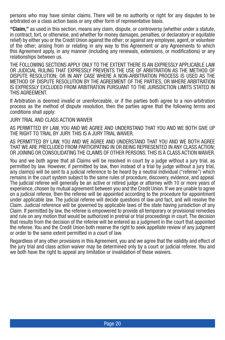persons who may have similar claims. There will be no authority or right for any disputes to be arbitrated on a class action basis or any other form of representative basis.

**"Claim,"** as used in this section, means any claim, dispute, or controversy (whether under a statute, in contract, tort, or otherwise, and whether for money damages, penalties, or declaratory or equitable relief) by either you or the Credit Union against the other; or against any employee, agent, or volunteer of the other; arising from or relating in any way to this Agreement or any Agreements to which this Agreement apply, in any manner (including any renewals, extensions, or modifications) or any relationships between us.

THE FOLLOWING SECTIONS APPLY ONLY TO THE EXTENT THERE IS AN EXPRESSLY APPLICABLE LAW OR JUDICIAL RULING THAT EXPRESSLY PREVENTS THE USE OF ARBITRATION AS THE METHOD OF DISPUTE RESOLUTION; OR IN ANY CASE WHERE A NON-ARBITRATION PROCESS IS USED AS THE METHOD OF DISPUTE RESOLUTION BY THE AGREEMENT OF THE PARTIES, OR WHERE ARBITRATION IS EXPRESSLY EXCLUDED FROM ARBITRATION PURSUANT TO THE JURISDICTION LIMITS STATED IN THIS AGREEMENT.

If Arbitration is deemed invalid or unenforceable, or if the parties both agree to a non-arbitration process as the method of dispute resolution, then the parties agree that the following terms and conditions shall apply:

#### JURY TRIAL AND CLASS ACTION WAIVER

AS PERMITTED BY LAW, YOU AND WE AGREE AND UNDERSTAND THAT YOU AND WE BOTH GIVE UP THE RIGHT TO TRIAL BY JURY. THIS IS A JURY TRIAL WAIVER.

AS PERMITTED BY LAW, YOU AND WE AGREE AND UNDERSTAND THAT YOU AND WE BOTH AGREE THAT WE ARE PRECLUDED FROM PARTICIPATING IN OR BEING REPRESENTED IN ANY CLASS ACTION; OR JOINING OR CONSOLIDATING THE CLAIMS OF OTHER PERSONS. THIS IS A CLASS ACTION WAIVER.

You and we both agree that all Claims will be resolved in court by a judge without a jury trial, as permitted by law. However, if permitted by law, then instead of a trial by judge without a jury trial, any claim(s) will be sent to a judicial reference to be heard by a neutral individual ("referee") which remains in the court system subject to the same rules of procedure, discovery, evidence, and appeal. The judicial referee will generally be an active or retired judge or attorney with 10 or more years of experience, chosen by mutual agreement between you and the Credit Union. If we are unable to agree on a judicial referee, then the referee will be appointed according to the procedure for appointment under applicable law. The judicial referee will decide questions of law and fact, and will resolve the Claim. Judicial reference will be governed by applicable laws of the state having jurisdiction of any Claim. If permitted by law, the referee is empowered to provide all temporary or provisional remedies and rule on any motion that would be authorized in pretrial or trial proceedings in court. The decision that results from the decision of the referee will be entered as a judgment in the court that appointed the referee. You and the Credit Union both reserve the right to seek appellate review of any judgment or order to the same extent permitted in a court of law.

Regardless of any other provisions in this Agreement, you and we agree that the validity and effect of the jury trial and class action waiver may be determined only by a court or judicial referee. You and we both have the right to appeal any limitation or invalidation of these waivers.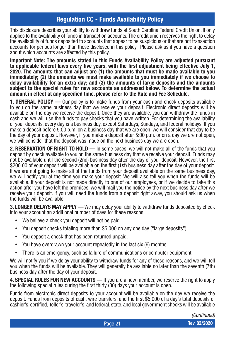#### **Regulation CC - Funds Availability Policy**

This disclosure describes your ability to withdraw funds at South Carolina Federal Credit Union. It only applies to the availability of funds in transaction accounts. The credit union reserves the right to delay the availability of funds deposited to accounts that appear to be suspicious or that are not transaction accounts for periods longer than those disclosed in this policy. Please ask us if you have a question about which accounts are affected by this policy.

**Important Note: The amounts stated in this Funds Availability Policy are adjusted pursuant to applicable federal laws every five years, with the first adjustment being effective July 1, 2020. The amounts that can adjust are (1) the amounts that must be made available to you immediately; (2) the amounts we must make available to you immediately if we choose to delay availability for an extra day; and (3) the amounts of large deposits and the amounts subject to the special rules for new accounts as addressed below. To determine the actual amount in effect at any specified time, please refer to the Rate and Fee Schedule.**

**1. GENERAL POLICY —** Our policy is to make funds from your cash and check deposits available to you on the same business day that we receive your deposit. Electronic direct deposits will be available on the day we receive the deposit. Once they are available, you can withdraw the funds in cash and we will use the funds to pay checks that you have written. For determining the availability of your deposits, every day is a business day, except Saturdays, Sundays, and federal holidays. If you make a deposit before 5:00 p.m. on a business day that we are open, we will consider that day to be the day of your deposit. However, if you make a deposit after 5:00 p.m. or on a day we are not open, we will consider that the deposit was made on the next business day we are open.

**2. RESERVATION OF RIGHT TO HOLD —** In some cases, we will not make all of the funds that you deposit by check available to you on the same business day that we receive your deposit. Funds may not be available until the second (2nd) business day after the day of your deposit. However, the first \$200.00 of your deposit will be available on the first (1st) business day after the day of your deposit. If we are not going to make all of the funds from your deposit available on the same business day, we will notify you at the time you make your deposit. We will also tell you when the funds will be available. If your deposit is not made directly to one of our employees, or if we decide to take this action after you have left the premises, we will mail you the notice by the next business day after we receive your deposit. If you will need the funds from a deposit right away, you should ask us when the funds will be available.

**3. LONGER DELAYS MAY APPLY —** We may delay your ability to withdraw funds deposited by check into your account an additional number of days for these reasons:

- We believe a check you deposit will not be paid.
- You deposit checks totaling more than \$5,000 on any one day ("large deposits").
- You deposit a check that has been returned unpaid.
- You have overdrawn your account repeatedly in the last six (6) months.
- There is an emergency, such as failure of communications or computer equipment.

We will notify you if we delay your ability to withdraw funds for any of these reasons, and we will tell you when the funds will be available. They will generally be available no later than the seventh (7th) business day after the day of your deposit.

**4. SPECIAL RULES FOR NEW ACCOUNTS —** If you are a new member, we reserve the right to apply the following special rules during the first thirty (30) days your account is open.

Funds from electronic direct deposits to your account will be available on the day we receive the deposit. Funds from deposits of cash, wire transfers, and the first \$5,000 of a day's total deposits of cashier's, certified, teller's, traveler's, and federal, state, and local government checks will be available

*(Continued)*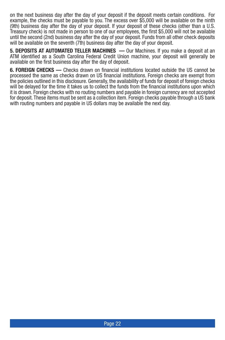on the next business day after the day of your deposit if the deposit meets certain conditions. For example, the checks must be payable to you. The excess over \$5,000 will be available on the ninth (9th) business day after the day of your deposit. If your deposit of these checks (other than a U.S. Treasury check) is not made in person to one of our employees, the first \$5,000 will not be available until the second (2nd) business day after the day of your deposit. Funds from all other check deposits will be available on the seventh (7th) business day after the day of your deposit.

**5. DEPOSITS AT AUTOMATED TELLER MACHINES —** Our Machines. If you make a deposit at an ATM identified as a South Carolina Federal Credit Union machine, your deposit will generally be available on the first business day after the day of deposit.

**6. FOREIGN CHECKS —** Checks drawn on financial institutions located outside the US cannot be processed the same as checks drawn on US financial institutions. Foreign checks are exempt from the policies outlined in this disclosure. Generally, the availability of funds for deposit of foreign checks will be delayed for the time it takes us to collect the funds from the financial institutions upon which it is drawn. Foreign checks with no routing numbers and payable in foreign currency are not accepted for deposit. These items must be sent as a collection item. Foreign checks payable through a US bank with routing numbers and payable in US dollars may be available the next day.

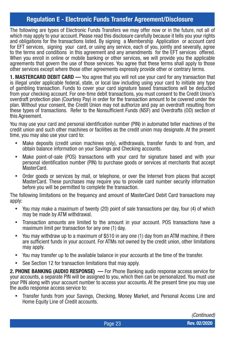#### **Regulation E - Electronic Funds Transfer Agreement/Disclosure**

The following are types of Electronic Funds Transfers we may offer now or in the future, not all of which may apply to your account. Please read this disclosure carefully because it tells you your rights and obligations for the transactions listed. By signing a Membership Application or account card for EFT services, signing your card, or using any service, each of you, jointly and severally, agree to the terms and conditions in this agreement and any amendments for the EFT services offered. When you enroll in online or mobile banking or other services, we will provide you the applicable agreements that govern the use of those services. You agree that these terms shall apply to those other services except where those other agreements expressly provide other or contrary terms.

**1. MASTERCARD DEBIT CARD —** You agree that you will not use your card for any transaction that is illegal under applicable federal, state, or local law including using your card to initiate any type of gambling transaction. Funds to cover your card signature based transactions will be deducted from your checking account. For one-time debit transactions, you must consent to the Credit Union's overdraft protection plan (Courtesy Pay) in order for the transaction amount to be covered under the plan. Without your consent, the Credit Union may not authorize and pay an overdraft resulting from these types of transactions. Refer to the Nonsufficient Funds (NSF) and Overdrafts (OD) section of this Agreement.

You may use your card and personal identification number (PIN) in automated teller machines of the credit union and such other machines or facilities as the credit union may designate. At the present time, you may also use your card to:

- Make deposits (credit union machines only), withdrawals, transfer funds to and from, and obtain balance information on your Savings and Checking accounts.
- Make point-of-sale (POS) transactions with your card for signature based and with your personal identification number (PIN) to purchase goods or services at merchants that accept MasterCard.
- Order goods or services by mail, or telephone, or over the Internet from places that accept MasterCard. These purchases may require you to provide card number security information before you will be permitted to complete the transaction.

The following limitations on the frequency and amount of MasterCard Debit Card transactions may apply:

- You may make a maximum of twenty (20) point of sale transactions per day, four (4) of which may be made by ATM withdrawal.
- Transaction amounts are limited to the amount in your account. POS transactions have a maximum limit per transaction for any one (1) day.
- You may withdraw up to a maximum of \$510 in any one (1) day from an ATM machine, if there are sufficient funds in your account. For ATMs not owned by the credit union, other limitations may apply.
- You may transfer up to the available balance in your accounts at the time of the transfer.
- See Section 12 for transaction limitations that may apply.

**2. PHONE BANKING (AUDIO RESPONSE) —** For Phone Banking audio response access service for your accounts, a separate PIN will be assigned to you, which then can be personalized. You must use your PIN along with your account number to access your accounts. At the present time you may use the audio response access service to:

Transfer funds from your Savings, Checking, Money Market, and Personal Access Line and Home Equity Line of Credit accounts.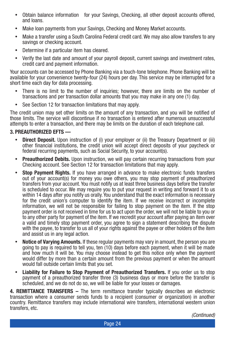- Obtain balance information for your Savings, Checking, all other deposit accounts offered, and loans.
- Make loan payments from your Savings, Checking and Money Market accounts.
- Make a transfer using a South Carolina Federal credit card. We may also allow transfers to any savings or checking account.
- Determine if a particular item has cleared.
- Verify the last date and amount of your payroll deposit, current savings and investment rates, credit card and payment information.

Your accounts can be accessed by Phone Banking via a touch-tone telephone. Phone Banking will be available for your convenience twenty-four (24) hours per day. This service may be interrupted for a short time each day for data processing.

- There is no limit to the number of inquiries; however, there are limits on the number of transactions and per transaction dollar amounts that you may make in any one (1) day.
- See Section 12 for transaction limitations that may apply.

The credit union may set other limits on the amount of any transaction, and you will be notified of those limits. The service will discontinue if no transaction is entered after numerous unsuccessful attempts to enter a transaction, and there may be limits on the duration of each telephone call.

#### **3. PREAUTHORIZED EFTS —**

- Direct Deposit. Upon instruction of (i) your employer or (ii) the Treasury Department or (iii) other financial institutions, the credit union will accept direct deposits of your paycheck or federal recurring payments, such as Social Security, to your account(s).
- **Preauthorized Debits.** Upon instruction, we will pay certain recurring transactions from your Checking account. See Section 12 for transaction limitations that may apply.
- **Stop Payment Rights.** If you have arranged in advance to make electronic funds transfers out of your account(s) for money you owe others, you may stop payment of preauthorized transfers from your account. You must notify us at least three business days before the transfer is scheduled to occur. We may require you to put your request in writing and forward it to us within 14 days after you notify us orally. You understand that the exact information is necessary for the credit union's computer to identify the item. If we receive incorrect or incomplete information, we will not be responsible for failing to stop payment on the item. If the stop payment order is not received in time for us to act upon the order, we will not be liable to you or to any other party for payment of the item. If we recredit your account after paying an item over a valid and timely stop payment order, you agree to sign a statement describing the dispute with the payee, to transfer to us all of your rights against the payee or other holders of the item and assist us in any legal action.
- **Notice of Varying Amounts.** If these regular payments may vary in amount, the person you are going to pay is required to tell you, ten (10) days before each payment, when it will be made and how much it will be. You may choose instead to get this notice only when the payment would differ by more than a certain amount from the previous payment or when the amount would fall outside certain limits that you set.
- **Liability for Failure to Stop Payment of Preauthorized Transfers.** If you order us to stop payment of a preauthorized transfer three (3) business days or more before the transfer is scheduled, and we do not do so, we will be liable for your losses or damages.

**4. REMITTANCE TRANSFERS –** The term remittance transfer typically describes an electronic transaction where a consumer sends funds to a recipient (consumer or organization) in another country. Remittance transfers may include international wire transfers, international western union transfers, etc.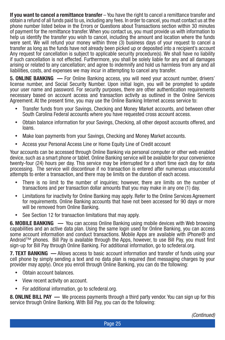**If you want to cancel a remittance transfer** – You have the right to cancel a remittance transfer and obtain a refund of all funds paid to us, including any fees. In order to cancel, you must contact us at the phone number listed below in the Errors or Questions about Transactions section within 30 minutes of payment for the remittance transfer. When you contact us, you must provide us with information to help us identify the transfer you wish to cancel, including the amount and location where the funds were sent. We will refund your money within three (3) business days of your request to cancel a transfer as long as the funds have not already been picked up or deposited into a recipient's account Any request for cancellation is subject to applicable security procedure(s). We shall have no liability if such cancellation is not effected. Furthermore, you shall be solely liable for any and all damages arising or related to any cancellation; and agree to indemnify and hold us harmless from any and all liabilities, costs, and expenses we may incur in attempting to cancel any transfer.

**5. ONLINE BANKING —** For Online Banking access, you will need your account number, drivers' license number, and Social Security Number. Upon initial login, you will be prompted to update your user name and password. For security purposes, there are other authentication requirements necessary based on account access and transaction activity as outlined in the Online Services Agreement. At the present time, you may use the Online Banking Internet access service to:

- Transfer funds from your Savings, Checking and Money Market accounts, and between other South Carolina Federal accounts where you have requested cross account access.
- Obtain balance information for your Savings, Checking, all other deposit accounts offered, and loans.
- Make Ioan payments from your Savings, Checking and Money Market accounts.
- Access your Personal Access Line or Home Equity Line of Credit account

Your accounts can be accessed through Online Banking via personal computer or other web enabled device, such as a smart phone or tablet. Online Banking service will be available for your convenience twenty-four (24) hours per day. This service may be interrupted for a short time each day for data processing. The service will discontinue if no transaction is entered after numerous unsuccessful attempts to enter a transaction, and there may be limits on the duration of each access.

- There is no limit to the number of inquiries; however, there are limits on the number of transactions and per transaction dollar amounts that you may make in any one (1) day.
- Limitations for inactivity for Online Banking may apply. Refer to the Online Services Agreement for requirements. Online Banking accounts that have not been accessed for 90 days or more will be removed from Online Banking.
- See Section 12 for transaction limitations that may apply.

**6. MOBILE BANKING —** You can access Online Banking using mobile devices with Web browsing capabilities and an active data plan. Using the same login used for Online Banking, you can access some account information and conduct transactions. Mobile Apps are available with iPhone® and Android™ phones. Bill Pay is available through the Apps, however, to use Bill Pay, you must first sign-up for Bill Pay through Online Banking. For additional information, go to scfederal.org.

**7. TEXT BANKING —** Allows access to basic account information and transfer of funds using your cell phone by simply sending a text and no data plan is required (text messaging charges by your provider may apply). Once you enroll through Online Banking, you can do the following:

- Obtain account balances.
- View recent activity on account.
- For additional information, go to scfederal.org.

**8. ONLINE BILL PAY** — We process payments through a third party vendor. You can sign up for this service through Online Banking. With Bill Pay, you can do the following: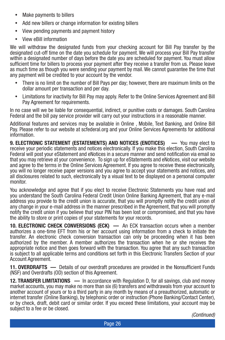- Make payments to billers
- Add new billers or change information for existing billers
- View pending payments and payment history
- View eBill information

We will withdraw the designated funds from your checking account for Bill Pay transfer by the designated cut-off time on the date you schedule for payment. We will process your Bill Pay transfer within a designated number of days before the date you are scheduled for payment. You must allow sufficient time for billers to process your payment after they receive a transfer from us. Please leave as much time as though you were sending your payment by mail. We cannot guarantee the time that any payment will be credited to your account by the vendor.

- There is no limit on the number of Bill Pays per day; however, there are maximum limits on the dollar amount per transaction and per day.
- Limitations for inactivity for Bill Pay may apply. Refer to the Online Services Agreement and Bill Pay Agreement for requirements.

In no case will we be liable for consequential, indirect, or punitive costs or damages. South Carolina Federal and the bill pay service provider will carry out your instructions in a reasonable manner.

Additional features and services may be available in Online , Mobile, Text Banking, and Online Bill Pay. Please refer to our website at scfederal.org and your Online Services Agreements for additional information.

**9. ELECTRONIC STATEMENT (ESTATEMENTS) AND NOTICES (ENOTICES) —** You may elect to receive your periodic statements and notices electronically. If you make this election, South Carolina Federal will post your eStatement and eNotices in a secure manner and send notification via email so that you may retrieve at your convenience. To sign up for eStatements and eNotices, visit our website and agree to the terms in the Online Services Agreement. If you agree to receive these electronically, you will no longer receive paper versions and you agree to accept your statements and notices, and all disclosures related to such, electronically by a visual text to be displayed on a personal computer monitor.

You acknowledge and agree that if you elect to receive Electronic Statements you have read and you understand the South Carolina Federal Credit Union Online Banking Agreement, that any e-mail address you provide to the credit union is accurate, that you will promptly notify the credit union of any change in your e-mail address in the manner prescribed in the Agreement, that you will promptly notify the credit union if you believe that your PIN has been lost or compromised, and that you have the ability to store or print copies of your statements for your records.

**10. ELECTRONIC CHECK CONVERSIONS (ECK) —** An ECK transaction occurs when a member authorizes a one-time EFT from his or her account using information from a check to initiate the transfer. An electronic check conversion transaction can only be proceeding when it has been authorized by the member. A member authorizes the transaction when he or she receives the appropriate notice and then goes forward with the transaction. You agree that any such transaction is subject to all applicable terms and conditions set forth in this Electronic Transfers Section of your Account Agreement.

**11. OVERDRAFTS —** Details of our overdraft procedures are provided in the Nonsufficient Funds (NSF) and Overdrafts (OD) section of this Agreement.

**12. TRANSFER LIMITATIONS —** In accordance with Regulation D, for all savings, club and money market accounts, you may make no more than six (6) transfers and withdrawals from your account to another account of yours or to a third party in any month by means of a preauthorized, automatic or internet transfer (Online Banking), by telephonic order or instruction (Phone Banking/Contact Center), or by check, draft, debit card or similar order. If you exceed these limitations, your account may be subject to a fee or be closed.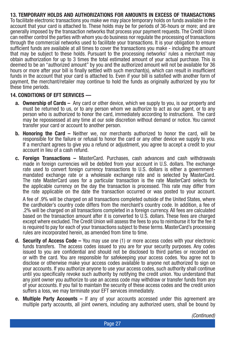**13. TEMPORARY HOLDS AND AUTHORIZATIONS FOR AMOUNTS IN EXCESS OF TRANSACTIONS**  To facilitate electronic transactions you make we may place temporary holds on funds available in the account that your card is attached to. These holds may be for periods of 36-hours or more; and are generally imposed by the transaction networks that process your payment requests. The Credit Union can neither control the parties with whom you do business nor regulate the processing of transactions through the commercial networks used to facilitate your transactions. It is your obligation to ensure sufficient funds are available at all times to cover the transactions you make - including the amount that may be subject to these holds. Pursuant to the processing networks' rules a merchant may obtain authorization for up to 3 times the total estimated amount of your actual purchase. This is deemed to be an "authorized amount" by you and the authorized amount will not be available for 36 hours or more after your bill is finally settled with such merchant(s), which can result in insufficient funds in the account that your card is attached to. Even if your bill is satisfied with another form of payment, the merchant/retailer may continue to hold the funds as originally authorized by you for these time periods.

#### **14. CONDITIONS OF EFT SERVICES —**

- **a. Ownership of Cards** Any card or other device, which we supply to you, is our property and must be returned to us, or to any person whom we authorize to act as our agent, or to any person who is authorized to honor the card, immediately according to instructions. The card may be repossessed at any time at our sole discretion without demand or notice. You cannot transfer your card or account to another person.
- **b. Honoring the Card** Neither we, nor merchants authorized to honor the card, will be responsible for the failure or refusal to honor the card or any other device we supply to you. If a merchant agrees to give you a refund or adjustment, you agree to accept a credit to your account in lieu of a cash refund.
- **c. Foreign Transactions** MasterCard. Purchases, cash advances and cash withdrawals made in foreign currencies will be debited from your account in U.S. dollars. The exchange rate used to convert foreign currency transactions to U.S. dollars is either a governmentmandated exchange rate or a wholesale exchange rate and is selected by MasterCard. The rate MasterCard uses for a particular transaction is the rate MasterCard selects for the applicable currency on the day the transaction is processed. This rate may differ from the rate applicable on the date the transaction occurred or was posted to your account.

A fee of .9% will be charged on all transactions completed outside of the United States, where the cardholder's country code differs from the merchant's country code. In addition, a fee of .2% will be charged on all transactions completed in a foreign currency. All fees are calculated based on the transaction amount after it is converted to U.S. dollars. These fees are charged except where excluded. The Credit Union will assess the fees to you to reimburse it for the fee it is required to pay for each of your transactions subject to these terms. MasterCard's processing rules are incorporated herein, as amended from time to time.

- **d. Security of Access Code** You may use one (1) or more access codes with your electronic funds transfers. The access codes issued to you are for your security purposes. Any codes issued to you are confidential and should not be disclosed to third parties or recorded on or with the card. You are responsible for safekeeping your access codes. You agree not to disclose or otherwise make your access codes available to anyone not authorized to sign on your accounts. If you authorize anyone to use your access codes, such authority shall continue until you specifically revoke such authority by notifying the credit union. You understand that any joint owner you authorize to use an access code may withdraw or transfer funds from any of your accounts. If you fail to maintain the security of these access codes and the credit union suffers a loss, we may terminate your EFT services immediately.
- **e. Multiple Party Accounts** If any of your accounts accessed under this agreement are multiple party accounts, all joint owners, including any authorized users, shall be bound by

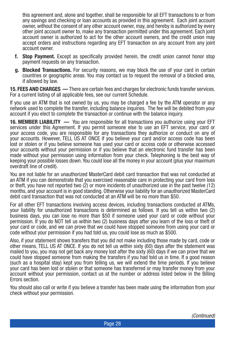this agreement and, alone and together, shall be responsible for all EFT transactions to or from any savings and checking or loan accounts as provided in this agreement. Each joint account owner, without the consent of any other account owner, may, and hereby is authorized by every other joint account owner to, make any transaction permitted under this agreement. Each joint account owner is authorized to act for the other account owners, and the credit union may accept orders and instructions regarding any EFT transaction on any account from any joint account owner.

- **f. Stop Payment.** Except as specifically provided herein, the credit union cannot honor stop payment requests on any transaction.
- **g. Blocked Transactions.** For security reasons, we may block the use of your card in certain countries or geographic areas. You may contact us to request the removal of a blocked area, if allowed by law.

**15. FEES AND CHARGES —** There are certain fees and charges for electronic funds transfer services. For a current listing of all applicable fees, see our current Schedule.

If you use an ATM that is not owned by us, you may be charged a fee by the ATM operator or any network used to complete the transfer, including balance inquiries. The fee will be debited from your account if you elect to complete the transaction or continue with the balance inquiry.

**16. MEMBER LIABILITY —** You are responsible for all transactions you authorize using your EFT services under this Agreement. If you permit someone else to use an EFT service, your card or your access code, you are responsible for any transactions they authorize or conduct on any of your accounts. However, TELL US AT ONCE if you believe your card and/or access code has been lost or stolen or if you believe someone has used your card or access code or otherwise accessed your accounts without your permission or if you believe that an electronic fund transfer has been made without your permission using information from your check. Telephoning is the best way of keeping your possible losses down. You could lose all the money in your account (plus your maximum overdraft line of credit).

You are not liable for an unauthorized MasterCard debit card transaction that was not conducted at an ATM if you can demonstrate that you exercised reasonable care in protecting your card from loss or theft, you have not reported two (2) or more incidents of unauthorized use in the past twelve (12) months, and your account is in good standing. Otherwise your liability for an unauthorized MasterCard debit card transaction that was not conducted at an ATM will be no more than \$50.

For all other EFT transactions involving access devices, including transactions conducted at ATMs, your liability for unauthorized transactions is determined as follows. If you tell us within two (2) business days, you can lose no more than \$50 if someone used your card or code without your permission. If you do NOT tell us within two (2) business days after you learn of the loss or theft of your card or code, and we can prove that we could have stopped someone from using your card or code without your permission if you had told us, you could lose as much as \$500.

Also, if your statement shows transfers that you did not make including those made by card, code or other means, TELL US AT ONCE. If you do not tell us within sixty (60) days after the statement was mailed to you, you may not get back any money lost after the sixty (60) days if we can prove that we could have stopped someone from making the transfers if you had told us in time. If a good reason (such as a hospital stay) kept you from telling us, we will extend the time periods. If you believe your card has been lost or stolen or that someone has transferred or may transfer money from your account without your permission, contact us at the number or address listed below in the Billing Errors section.

You should also call or write if you believe a transfer has been made using the information from your check without your permission.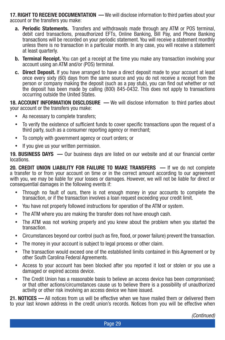**17. RIGHT TO RECEIVE DOCUMENTATION — We will disclose information to third parties about your** account or the transfers you make:

- **a. Periodic Statements.** Transfers and withdrawals made through any ATM or POS terminal, debit card transactions, preauthorized EFTs, Online Banking, Bill Pay, and Phone Banking transactions will be recorded on your periodic statement. You will receive a statement monthly unless there is no transaction in a particular month. In any case, you will receive a statement at least quarterly.
- **b. Terminal Receipt.** You can get a receipt at the time you make any transaction involving your account using an ATM and/or (POS) terminal.
- **c. Direct Deposit.** If you have arranged to have a direct deposit made to your account at least once every sixty (60) days from the same source and you do not receive a receipt from the person or company making the deposit (such as a pay stub), you can find out whether or not the deposit has been made by calling (800) 845-0432. This does not apply to transactions occurring outside the United States.

**18. ACCOUNT INFORMATION DISCLOSURE** — We will disclose information to third parties about your account or the transfers you make:

- As necessary to complete transfers;
- To verify the existence of sufficient funds to cover specific transactions upon the request of a third party, such as a consumer reporting agency or merchant;
- To comply with government agency or court orders; or
- If you give us your written permission.

**19. BUSINESS DAYS —** Our business days are listed on our website and at our financial center locations.

**20. CREDIT UNION LIABILITY FOR FAILURE TO MAKE TRANSFERS —** If we do not complete a transfer to or from your account on time or in the correct amount according to our agreement with you, we may be liable for your losses or damages. However, we will not be liable for direct or consequential damages in the following events if:

- Through no fault of ours, there is not enough money in your accounts to complete the transaction, or if the transaction involves a loan request exceeding your credit limit.
- You have not properly followed instructions for operation of the ATM or system.
- The ATM where you are making the transfer does not have enough cash.
- The ATM was not working properly and you knew about the problem when you started the transaction.
- Circumstances beyond our control (such as fire, flood, or power failure) prevent the transaction.
- The money in your account is subject to legal process or other claim.
- y The transaction would exceed one of the established limits contained in this Agreement or by other South Carolina Federal Agreements.
- Access to your account has been blocked after you reported it lost or stolen or you use a damaged or expired access device.
- The Credit Union has a reasonable basis to believe an access device has been compromised; or that other actions/circumstances cause us to believe there is a possibility of unauthorized activity or other risk involving an access device we have issued.

**21. NOTICES —** All notices from us will be effective when we have mailed them or delivered them to your last known address in the credit union's records. Notices from you will be effective when

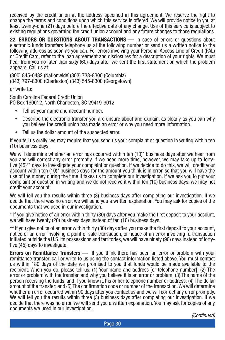received by the credit union at the address specified in this agreement. We reserve the right to change the terms and conditions upon which this service is offered. We will provide notice to you at least twenty-one (21) days before the effective date of any change. Use of this service is subject to existing regulations governing the credit union account and any future changes to those regulations.

**22. ERRORS OR QUESTIONS ABOUT TRANSACTIONS —** In case of errors or questions about electronic funds transfers telephone us at the following number or send us a written notice to the following address as soon as you can. For errors involving your Personal Access Line of Credit (PAL) or Credit Card, refer to the loan agreement and disclosures for a description of your rights. We must hear from you no later than sixty (60) days after we sent the first statement on which the problem appears. Call us at:

(800) 845-0432 (Nationwide)(803) 738-8300 (Columbia) (843) 797-8300 (Charleston) (843) 545-8300 (Georgetown)

or write to:

South Carolina Federal Credit Union PO Box 190012, North Charleston, SC 29419-9012

- Tell us your name and account number.
- Describe the electronic transfer you are unsure about and explain, as clearly as you can why you believe the credit union has made an error or why you need more information.
- Tell us the dollar amount of the suspected error.

If you tell us orally, we may require that you send us your complaint or question in writing within ten (10) business days.

We will determine whether an error has occurred within ten  $(10)^*$  business days after we hear from you and will correct any error promptly. If we need more time, however, we may take up to fortyfive (45)\*\* days to investigate your complaint or question. If we decide to do this, we will credit your account within ten (10)\* business days for the amount you think is in error, so that you will have the use of the money during the time it takes us to complete our investigation. If we ask you to put your complaint or question in writing and we do not receive it within ten (10) business days, we may not credit your account.

We will tell you the results within three (3) business days after completing our investigation. If we decide that there was no error, we will send you a written explanation. You may ask for copies of the documents that we used in our investigation.

\* If you give notice of an error within thirty (30) days after you make the first deposit to your account, we will have twenty (20) business days instead of ten (10) business days.

\*\* If you give notice of an error within thirty (30) days after you make the first deposit to your account, notice of an error involving a point of sale transaction, or notice of an error involving a transaction initiated outside the U.S. its possessions and territories, we will have ninety (90) days instead of fortyfive (45) days to investigate.

**Errors on Remittance Transfers —** If you think there has been an error or problem with your remittance transfer, call or write to us using the contact information listed above. You must contact us within 180 days of the date we promised to you that funds would be made available to the recipient. When you do, please tell us: (1) Your name and address [or telephone number]; (2) The error or problem with the transfer, and why you believe it is an error or problem; (3) The name of the person receiving the funds, and if you know it, his or her telephone number or address; (4) The dollar amount of the transfer; and (5) The confirmation code or number of the transaction. We will determine whether an error occurred within 90 days after you contact us and we will correct any error promptly. We will tell you the results within three (3) business days after completing our investigation. If we decide that there was no error, we will send you a written explanation. You may ask for copies of any documents we used in our investigation.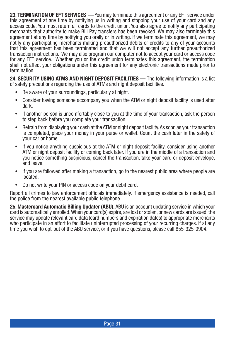**23. TERMINATION OF EFT SERVICES —** You may terminate this agreement or any EFT service under this agreement at any time by notifying us in writing and stopping your use of your card and any access code. You must return all cards to the credit union. You also agree to notify any participating merchants that authority to make Bill Pay transfers has been revoked. We may also terminate this agreement at any time by notifying you orally or in writing. If we terminate this agreement, we may notify any participating merchants making preauthorized debits or credits to any of your accounts that this agreement has been terminated and that we will not accept any further preauthorized transaction instructions. We may also program our computer not to accept your card or access code for any EFT service. Whether you or the credit union terminates this agreement, the termination shall not affect your obligations under this agreement for any electronic transactions made prior to termination.

**24. SECURITY USING ATMS AND NIGHT DEPOSIT FACILITIES —** The following information is a list of safety precautions regarding the use of ATMs and night deposit facilities.

- Be aware of your surroundings, particularly at night.
- Consider having someone accompany you when the ATM or night deposit facility is used after dark.
- y If another person is uncomfortably close to you at the time of your transaction, ask the person to step back before you complete your transaction.
- Refrain from displaying your cash at the ATM or night deposit facility. As soon as your transaction is completed, place your money in your purse or wallet. Count the cash later in the safety of your car or home.
- If you notice anything suspicious at the ATM or night deposit facility, consider using another ATM or night deposit facility or coming back later. If you are in the middle of a transaction and you notice something suspicious, cancel the transaction, take your card or deposit envelope, and leave.
- If you are followed after making a transaction, go to the nearest public area where people are located.
- Do not write your PIN or access code on your debit card.

Report all crimes to law enforcement officials immediately. If emergency assistance is needed, call the police from the nearest available public telephone.

**25. Mastercard Automatic Billing Updater (ABU).** ABU is an account updating service in which your card is automatically enrolled. When your card(s) expire, are lost or stolen, or new cards are issued, the service may update relevant card data (card numbers and expiration dates) to appropriate merchants who participate in an effort to facilitate uninterrupted processing of your recurring charges. If at any time you wish to opt-out of the ABU service, or if you have questions, please call 855-325-0904.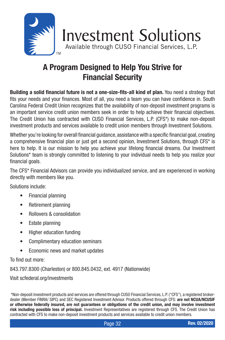

## **A Program Designed to Help You Strive for Financial Security**

**Building a solid financial future is not a one-size-fits-all kind of plan.** You need a strategy that fits your needs and your finances. Most of all, you need a team you can have confidence in. South Carolina Federal Credit Union recognizes that the availability of non-deposit investment programs is an important service credit union members seek in order to help achieve their financial objectives. The Credit Union has contracted with CUSO Financial Services, L.P. (CFS\*) to make non-deposit investment products and services available to credit union members through Investment Solutions.

Whether you're looking for overall financial guidance, assistance with a specific financial goal, creating a comprehensive financial plan or just get a second opinion, Investment Solutions, through CFS\* is here to help. It is our mission to help you achieve your lifelong financial dreams. Our Investment Solutions\* team is strongly committed to listening to your individual needs to help you realize your financial goals.

The CFS\* Financial Advisors can provide you individualized service, and are experienced in working directly with members like you.

Solutions include:

- Financial planning
- Retirement planning
- Rollovers & consolidation
- Estate planning
- Higher education funding
- Complimentary education seminars
- Economic news and market updates

To find out more:

843.797.8300 (Charleston) or 800.845.0432, ext. 4917 (Nationwide)

Visit scfederal.org/investments

 \*Non-deposit investment products and services are offered through CUSO Financial Services, L.P. ("CFS"), a registered brokerdealer (Member FINRA/ SIPC) and SEC Registered Investment Advisor. Products offered through CFS: **are not NCUA/NCUSIF or otherwise federally insured, are not guarantees or obligations of the credit union, and may involve investment risk including possible loss of principal.** Investment Representatives are registered through CFS. The Credit Union has contracted with CFS to make non-deposit investment products and services available to credit union members.

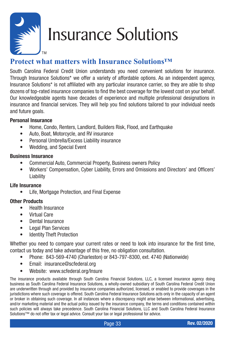

# Insurance Solutions

#### **Protect what matters with Insurance Solutions™**

South Carolina Federal Credit Union understands you need convenient solutions for insurance. Through Insurance Solutions\* we offer a variety of affordable options. As an independent agency, Insurance Solutions\* is not affiliated with any particular insurance carrier, so they are able to shop dozens of top-rated insurance companies to find the best coverage for the lowest cost on your behalf. Our knowledgeable agents have decades of experience and multiple professional designations in insurance and financial services. They will help you find solutions tailored to your individual needs and future goals.

#### **Personal Insurance**

- Home, Condo, Renters, Landlord, Builders Risk, Flood, and Earthquake
- Auto, Boat, Motorcycle, and RV insurance
- Personal Umbrella/Excess Liability insurance
- Wedding, and Special Event

#### **Business Insurance**

- Commercial Auto, Commercial Property, Business owners Policy
- Workers' Compensation, Cyber Liability, Errors and Omissions and Directors' and Officers' Liability

#### **Life Insurance**

• Life, Mortgage Protection, and Final Expense

#### **Other Products**

- Health Insurance
- Virtual Care
- Dental Insurance
- Legal Plan Services
- Identity Theft Protection

Whether you need to compare your current rates or need to look into insurance for the first time, contact us today and take advantage of this free, no obligation consultation.

- Phone: 843-569-4740 (Charleston) or 843-797-8300, ext. 4740 (Nationwide)
- Email: insurance@scfederal.org
- Website: www.scfederal.org/Insure

The insurance products available through South Carolina Financial Solutions, LLC, a licensed insurance agency doing business as South Carolina Federal Insurance Solutions, a wholly-owned subsidiary of South Carolina Federal Credit Union are underwritten through and provided by insurance companies authorized, licensed, or enabled to provide coverages in the jurisdictions where such coverage is offered. South Carolina Federal Insurance Solutions acts only in the capacity of an agent or broker in obtaining such coverage. In all instances where a discrepancy might arise between informational, advertising, and/or marketing material and the actual policy issued by the insurance company, the terms and conditions contained within such policies will always take precedence. South Carolina Financial Solutions, LLC and South Carolina Federal Insurance Solutions™ do not offer tax or legal advice. Consult your tax or legal professional for advice.